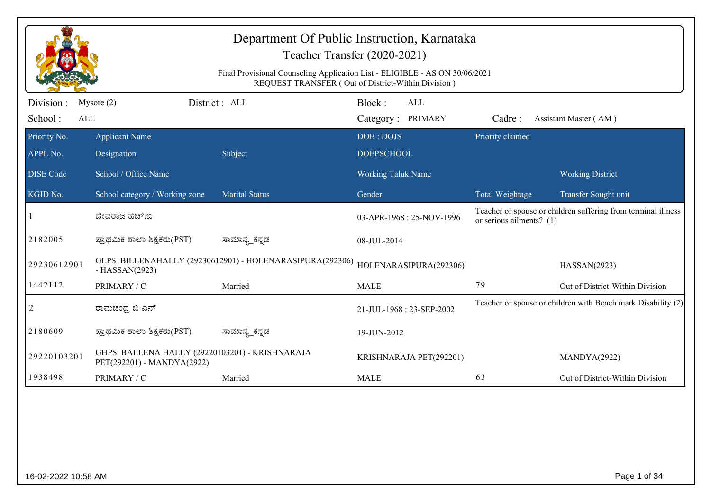|                  | Department Of Public Instruction, Karnataka<br>Teacher Transfer (2020-2021)<br>Final Provisional Counseling Application List - ELIGIBLE - AS ON 30/06/2021<br>REQUEST TRANSFER (Out of District-Within Division) |                                                          |                           |                          |                                                               |  |  |  |  |
|------------------|------------------------------------------------------------------------------------------------------------------------------------------------------------------------------------------------------------------|----------------------------------------------------------|---------------------------|--------------------------|---------------------------------------------------------------|--|--|--|--|
| Division :       | Mysore $(2)$                                                                                                                                                                                                     | District: ALL                                            | Block:<br><b>ALL</b>      |                          |                                                               |  |  |  |  |
| School:<br>ALL   |                                                                                                                                                                                                                  |                                                          | Category: PRIMARY         | Cadre:                   | Assistant Master (AM)                                         |  |  |  |  |
| Priority No.     | <b>Applicant Name</b>                                                                                                                                                                                            |                                                          | DOB: DOJS                 | Priority claimed         |                                                               |  |  |  |  |
| APPL No.         | Designation                                                                                                                                                                                                      | Subject                                                  | <b>DOEPSCHOOL</b>         |                          |                                                               |  |  |  |  |
| <b>DISE Code</b> | School / Office Name                                                                                                                                                                                             |                                                          | Working Taluk Name        |                          | <b>Working District</b>                                       |  |  |  |  |
| KGID No.         | School category / Working zone                                                                                                                                                                                   | <b>Marital Status</b>                                    | Gender                    | Total Weightage          | Transfer Sought unit                                          |  |  |  |  |
|                  | ದೇವರಾಜ ಹೆಚ್.ಬಿ                                                                                                                                                                                                   |                                                          | 03-APR-1968 : 25-NOV-1996 | or serious ailments? (1) | Teacher or spouse or children suffering from terminal illness |  |  |  |  |
| 2182005          | ಪ್ರಾಥಮಿಕ ಶಾಲಾ ಶಿಕ್ಷಕರು(PST)                                                                                                                                                                                      | ಸಾಮಾನ್ಯ_ಕನ್ನಡ                                            | 08-JUL-2014               |                          |                                                               |  |  |  |  |
| 29230612901      | $-HASSAN(2923)$                                                                                                                                                                                                  | GLPS BILLENAHALLY (29230612901) - HOLENARASIPURA(292306) | HOLENARASIPURA(292306)    |                          | HASSAN(2923)                                                  |  |  |  |  |
| 1442112          | PRIMARY / C                                                                                                                                                                                                      | Married                                                  | <b>MALE</b>               | 79                       | Out of District-Within Division                               |  |  |  |  |
| 2                | ರಾಮಚಂಧ್ರ ಬಿ ಎನ್                                                                                                                                                                                                  |                                                          | 21-JUL-1968: 23-SEP-2002  |                          | Teacher or spouse or children with Bench mark Disability (2)  |  |  |  |  |
| 2180609          | ಪ್ರಾಥಮಿಕ ಶಾಲಾ ಶಿಕ್ಷಕರು(PST)                                                                                                                                                                                      | ಸಾಮಾನ್ಯ_ಕನ್ನಡ                                            | 19-JUN-2012               |                          |                                                               |  |  |  |  |
| 29220103201      | GHPS BALLENA HALLY (29220103201) - KRISHNARAJA<br>PET(292201) - MANDYA(2922)                                                                                                                                     |                                                          | KRISHNARAJA PET(292201)   |                          | MANDYA(2922)                                                  |  |  |  |  |
| 1938498          | PRIMARY / C                                                                                                                                                                                                      | Married                                                  | <b>MALE</b>               | 63                       | Out of District-Within Division                               |  |  |  |  |
|                  |                                                                                                                                                                                                                  |                                                          |                           |                          |                                                               |  |  |  |  |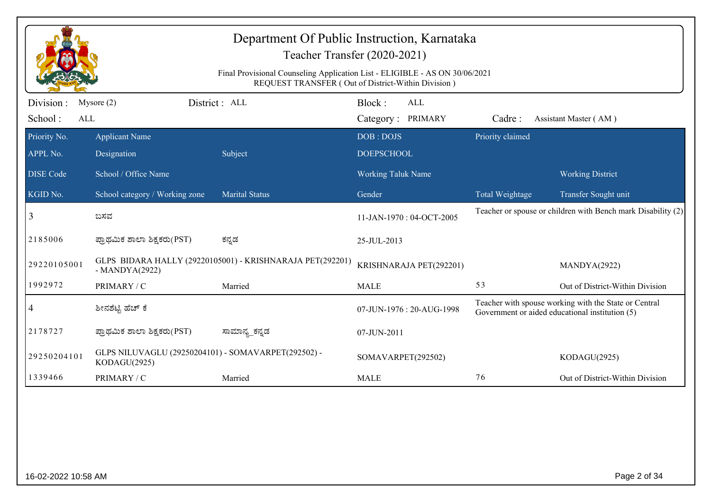|                              |                                                                     | Department Of Public Instruction, Karnataka<br>Teacher Transfer (2020-2021)<br>Final Provisional Counseling Application List - ELIGIBLE - AS ON 30/06/2021<br>REQUEST TRANSFER (Out of District-Within Division) |                                |                           |                  |                                                                                                          |
|------------------------------|---------------------------------------------------------------------|------------------------------------------------------------------------------------------------------------------------------------------------------------------------------------------------------------------|--------------------------------|---------------------------|------------------|----------------------------------------------------------------------------------------------------------|
| Division :<br>School:<br>ALL | Mysore $(2)$                                                        | District: ALL                                                                                                                                                                                                    | Block:<br>Category: PRIMARY    | <b>ALL</b>                | Cadre:           | Assistant Master (AM)                                                                                    |
| Priority No.<br>APPL No.     | <b>Applicant Name</b><br>Designation                                | Subject                                                                                                                                                                                                          | DOB: DOJS<br><b>DOEPSCHOOL</b> |                           | Priority claimed |                                                                                                          |
| <b>DISE Code</b>             | School / Office Name                                                |                                                                                                                                                                                                                  | Working Taluk Name             |                           |                  | <b>Working District</b>                                                                                  |
| KGID No.                     | School category / Working zone                                      | <b>Marital Status</b>                                                                                                                                                                                            | Gender                         |                           | Total Weightage  | Transfer Sought unit                                                                                     |
| 3                            | ಬಸವ                                                                 |                                                                                                                                                                                                                  |                                | 11-JAN-1970: 04-OCT-2005  |                  | Teacher or spouse or children with Bench mark Disability (2)                                             |
| 2185006                      | ಪ್ರಾಥಮಿಕ ಶಾಲಾ ಶಿಕ್ಷಕರು(PST)                                         | ಕನ್ನಡ                                                                                                                                                                                                            | 25-JUL-2013                    |                           |                  |                                                                                                          |
| 29220105001                  | $-MANDYA(2922)$                                                     | GLPS BIDARA HALLY (29220105001) - KRISHNARAJA PET(292201)                                                                                                                                                        |                                | KRISHNARAJA PET(292201)   |                  | MANDYA(2922)                                                                                             |
| 1992972                      | PRIMARY / C                                                         | Married                                                                                                                                                                                                          | <b>MALE</b>                    |                           | 53               | Out of District-Within Division                                                                          |
| 4                            | ಶೀನಶೆಟ್ಟಿ ಹೆಚ್ ಕೆ                                                   |                                                                                                                                                                                                                  |                                | 07-JUN-1976 : 20-AUG-1998 |                  | Teacher with spouse working with the State or Central<br>Government or aided educational institution (5) |
| 2178727                      | ಪ್ರಾಥಮಿಕ ಶಾಲಾ ಶಿಕ್ಷಕರು(PST)                                         | ಸಾಮಾನ್ಯ_ಕನ್ನಡ                                                                                                                                                                                                    | 07-JUN-2011                    |                           |                  |                                                                                                          |
| 29250204101                  | GLPS NILUVAGLU (29250204101) - SOMAVARPET(292502) -<br>KODAGU(2925) |                                                                                                                                                                                                                  | SOMAVARPET(292502)             |                           |                  | KODAGU(2925)                                                                                             |
| 1339466                      | PRIMARY / C                                                         | Married                                                                                                                                                                                                          | <b>MALE</b>                    |                           | 76               | Out of District-Within Division                                                                          |
|                              |                                                                     |                                                                                                                                                                                                                  |                                |                           |                  |                                                                                                          |
| 16-02-2022 10:58 AM          |                                                                     |                                                                                                                                                                                                                  |                                |                           |                  | Page 2 of 34                                                                                             |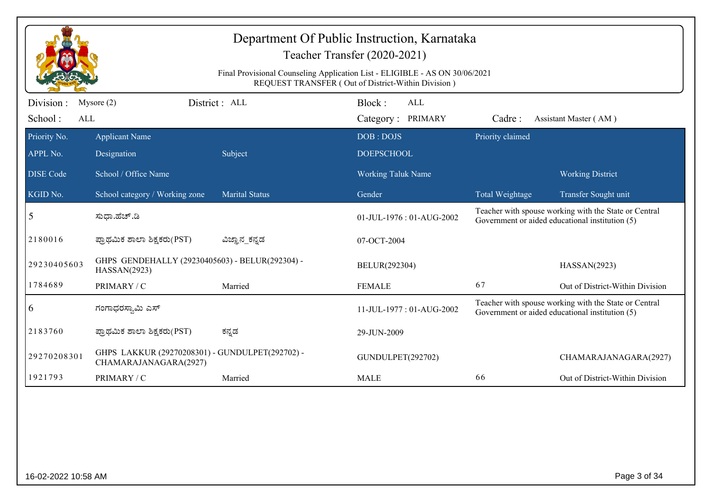|                       | Department Of Public Instruction, Karnataka<br>Teacher Transfer (2020-2021)<br>Final Provisional Counseling Application List - ELIGIBLE - AS ON 30/06/2021<br>REQUEST TRANSFER (Out of District-Within Division) |                       |                           |                  |                                                                                                          |  |  |  |
|-----------------------|------------------------------------------------------------------------------------------------------------------------------------------------------------------------------------------------------------------|-----------------------|---------------------------|------------------|----------------------------------------------------------------------------------------------------------|--|--|--|
| Division:             | Mysore $(2)$                                                                                                                                                                                                     | District: ALL         | Block:<br><b>ALL</b>      |                  |                                                                                                          |  |  |  |
| School:<br><b>ALL</b> |                                                                                                                                                                                                                  |                       | Category: PRIMARY         | Cadre:           | Assistant Master (AM)                                                                                    |  |  |  |
| Priority No.          | <b>Applicant Name</b>                                                                                                                                                                                            |                       | DOB: DOJS                 | Priority claimed |                                                                                                          |  |  |  |
| APPL No.              | Designation                                                                                                                                                                                                      | Subject               | <b>DOEPSCHOOL</b>         |                  |                                                                                                          |  |  |  |
| <b>DISE Code</b>      | School / Office Name                                                                                                                                                                                             |                       | <b>Working Taluk Name</b> |                  | <b>Working District</b>                                                                                  |  |  |  |
| KGID No.              | School category / Working zone                                                                                                                                                                                   | <b>Marital Status</b> | Gender                    | Total Weightage  | Transfer Sought unit                                                                                     |  |  |  |
| 5                     | ಸುಧಾ.ಹೆಚ್.ಡಿ                                                                                                                                                                                                     |                       | 01-JUL-1976: 01-AUG-2002  |                  | Teacher with spouse working with the State or Central<br>Government or aided educational institution (5) |  |  |  |
| 2180016               | ಪ್ರಾಥಮಿಕ ಶಾಲಾ ಶಿಕ್ಷಕರು(PST)                                                                                                                                                                                      | ವಿಜ್ಞಾನ_ಕನ್ನಡ         | 07-OCT-2004               |                  |                                                                                                          |  |  |  |
| 29230405603           | GHPS GENDEHALLY (29230405603) - BELUR(292304) -<br>HASSAN(2923)                                                                                                                                                  |                       | BELUR(292304)             |                  | HASSAN(2923)                                                                                             |  |  |  |
| 1784689               | PRIMARY / C                                                                                                                                                                                                      | Married               | <b>FEMALE</b>             | 67               | Out of District-Within Division                                                                          |  |  |  |
| 6                     | ಗಂಗಾಧರಸ್ವಾಮಿ ಎಸ್                                                                                                                                                                                                 |                       | 11-JUL-1977: 01-AUG-2002  |                  | Teacher with spouse working with the State or Central<br>Government or aided educational institution (5) |  |  |  |
| 2183760               | ಪ್ರಾಥಮಿಕ ಶಾಲಾ ಶಿಕ್ಷಕರು(PST)                                                                                                                                                                                      | ಕನ್ನಡ                 | 29-JUN-2009               |                  |                                                                                                          |  |  |  |
| 29270208301           | GHPS LAKKUR (29270208301) - GUNDULPET(292702) -<br>CHAMARAJANAGARA(2927)                                                                                                                                         |                       | GUNDULPET(292702)         |                  | CHAMARAJANAGARA(2927)                                                                                    |  |  |  |
| 1921793               | PRIMARY / C                                                                                                                                                                                                      | Married               | <b>MALE</b>               | 66               | Out of District-Within Division                                                                          |  |  |  |
|                       |                                                                                                                                                                                                                  |                       |                           |                  |                                                                                                          |  |  |  |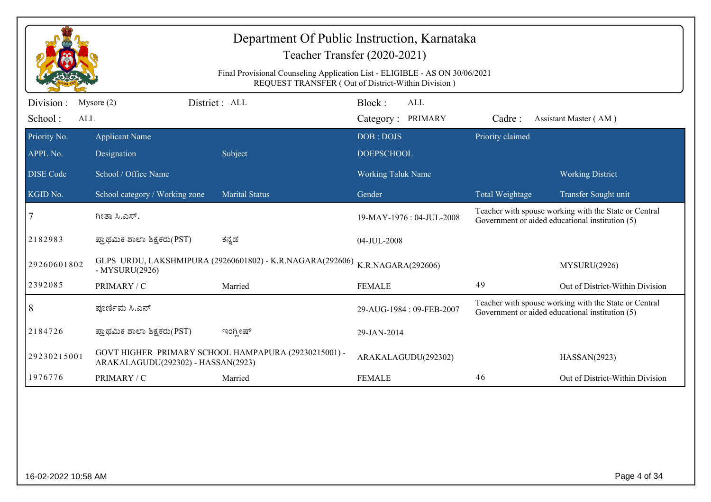|                              | Department Of Public Instruction, Karnataka<br>Teacher Transfer (2020-2021)<br>Final Provisional Counseling Application List - ELIGIBLE - AS ON 30/06/2021<br>REQUEST TRANSFER (Out of District-Within Division) |                                                           |                                           |                  |                                                                                                          |  |  |  |
|------------------------------|------------------------------------------------------------------------------------------------------------------------------------------------------------------------------------------------------------------|-----------------------------------------------------------|-------------------------------------------|------------------|----------------------------------------------------------------------------------------------------------|--|--|--|
| Division :<br>School:<br>ALL | Mysore $(2)$                                                                                                                                                                                                     | District : ALL                                            | Block:<br><b>ALL</b><br>Category: PRIMARY | Cadre:           | Assistant Master (AM)                                                                                    |  |  |  |
| Priority No.<br>APPL No.     | <b>Applicant Name</b><br>Designation                                                                                                                                                                             | Subject                                                   | DOB: DOJS<br><b>DOEPSCHOOL</b>            | Priority claimed |                                                                                                          |  |  |  |
| <b>DISE</b> Code             | School / Office Name                                                                                                                                                                                             |                                                           | <b>Working Taluk Name</b>                 |                  | <b>Working District</b>                                                                                  |  |  |  |
| KGID No.                     | School category / Working zone                                                                                                                                                                                   | <b>Marital Status</b>                                     | Gender                                    | Total Weightage  | Transfer Sought unit                                                                                     |  |  |  |
| 7                            | ಗೀತಾ ಸಿ.ಎಸ್.                                                                                                                                                                                                     |                                                           | 19-MAY-1976: 04-JUL-2008                  |                  | Teacher with spouse working with the State or Central<br>Government or aided educational institution (5) |  |  |  |
| 2182983                      | ಪ್ರಾಥಮಿಕ ಶಾಲಾ ಶಿಕ್ಷಕರು(PST)                                                                                                                                                                                      | ಕನ್ನಡ                                                     | 04-JUL-2008                               |                  |                                                                                                          |  |  |  |
| 29260601802                  | - MYSURU(2926)                                                                                                                                                                                                   | GLPS URDU, LAKSHMIPURA (29260601802) - K.R.NAGARA(292606) | K.R.NAGARA(292606)                        |                  | MYSURU(2926)                                                                                             |  |  |  |
| 2392085                      | PRIMARY / C                                                                                                                                                                                                      | Married                                                   | <b>FEMALE</b>                             | 49               | Out of District-Within Division                                                                          |  |  |  |
| 8                            | ಪೂರ್ಣಿಮ ಸಿ.ಎನ್                                                                                                                                                                                                   |                                                           | 29-AUG-1984: 09-FEB-2007                  |                  | Teacher with spouse working with the State or Central<br>Government or aided educational institution (5) |  |  |  |
| 2184726                      | ಪ್ರಾಥಮಿಕ ಶಾಲಾ ಶಿಕ್ಷಕರು(PST)                                                                                                                                                                                      | ಇಂಗ್ಲೀಷ್                                                  | 29-JAN-2014                               |                  |                                                                                                          |  |  |  |
| 29230215001                  | ARAKALAGUDU(292302) - HASSAN(2923)                                                                                                                                                                               | GOVT HIGHER PRIMARY SCHOOL HAMPAPURA (29230215001) -      | ARAKALAGUDU(292302)                       |                  | HASSAN(2923)                                                                                             |  |  |  |
| 1976776                      | PRIMARY / C                                                                                                                                                                                                      | Married                                                   | <b>FEMALE</b>                             | 46               | Out of District-Within Division                                                                          |  |  |  |
|                              |                                                                                                                                                                                                                  |                                                           |                                           |                  |                                                                                                          |  |  |  |
| 16-02-2022 10:58 AM          |                                                                                                                                                                                                                  |                                                           |                                           |                  | Page 4 of 34                                                                                             |  |  |  |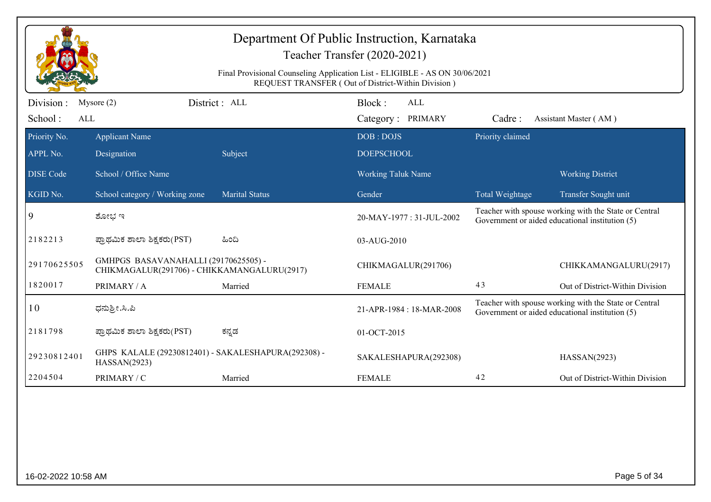| Final Provisional Counseling Application List - ELIGIBLE - AS ON 30/06/2021<br>REQUEST TRANSFER (Out of District-Within Division)<br>District: ALL<br>Block:<br>Division :<br>Mysore $(2)$<br>ALL<br>School:<br>ALL<br>Category: PRIMARY<br>Cadre:<br>Assistant Master (AM)<br>Priority claimed<br><b>Applicant Name</b><br>DOB: DOJS<br>Designation<br>Subject<br><b>DOEPSCHOOL</b><br>School / Office Name<br><b>Working Taluk Name</b><br><b>Working District</b><br><b>Marital Status</b><br>School category / Working zone<br>Gender<br>Total Weightage<br>Transfer Sought unit<br>Teacher with spouse working with the State or Central<br>$\overline{9}$<br>ಶೋಭ ಇ<br>20-MAY-1977: 31-JUL-2002<br>Government or aided educational institution (5)<br>2182213<br>ಪ್ರಾಥಮಿಕ ಶಾಲಾ ಶಿಕ್ಷಕರು(PST)<br>ಹಿಂದಿ<br>03-AUG-2010<br>GMHPGS BASAVANAHALLI (29170625505) -<br>29170625505<br>CHIKMAGALUR(291706)<br>CHIKKAMANGALURU(2917)<br>CHIKMAGALUR(291706) - CHIKKAMANGALURU(2917)<br>1820017<br>43<br>Out of District-Within Division<br>PRIMARY / A<br>Married<br><b>FEMALE</b><br>Teacher with spouse working with the State or Central<br>10<br>ಧನುಶ್ರೀ.ಸಿ.ಪಿ<br>21-APR-1984 : 18-MAR-2008<br>Government or aided educational institution (5)<br>2181798<br>ಕನ್ನಡ<br>ಪ್ರಾಥಮಿಕ ಶಾಲಾ ಶಿಕ್ಷಕರು(PST)<br>01-OCT-2015<br>GHPS KALALE (29230812401) - SAKALESHAPURA(292308) -<br>29230812401<br>SAKALESHAPURA(292308)<br>HASSAN(2923)<br>HASSAN(2923)<br>42<br>2204504<br>PRIMARY / C<br><b>FEMALE</b><br>Out of District-Within Division<br>Married |              | Department Of Public Instruction, Karnataka<br>Teacher Transfer (2020-2021) |  |  |  |  |  |  |  |
|------------------------------------------------------------------------------------------------------------------------------------------------------------------------------------------------------------------------------------------------------------------------------------------------------------------------------------------------------------------------------------------------------------------------------------------------------------------------------------------------------------------------------------------------------------------------------------------------------------------------------------------------------------------------------------------------------------------------------------------------------------------------------------------------------------------------------------------------------------------------------------------------------------------------------------------------------------------------------------------------------------------------------------------------------------------------------------------------------------------------------------------------------------------------------------------------------------------------------------------------------------------------------------------------------------------------------------------------------------------------------------------------------------------------------------------------------------------------------------------------------------------------------------------------|--------------|-----------------------------------------------------------------------------|--|--|--|--|--|--|--|
|                                                                                                                                                                                                                                                                                                                                                                                                                                                                                                                                                                                                                                                                                                                                                                                                                                                                                                                                                                                                                                                                                                                                                                                                                                                                                                                                                                                                                                                                                                                                                |              |                                                                             |  |  |  |  |  |  |  |
|                                                                                                                                                                                                                                                                                                                                                                                                                                                                                                                                                                                                                                                                                                                                                                                                                                                                                                                                                                                                                                                                                                                                                                                                                                                                                                                                                                                                                                                                                                                                                |              |                                                                             |  |  |  |  |  |  |  |
| <b>DISE</b> Code                                                                                                                                                                                                                                                                                                                                                                                                                                                                                                                                                                                                                                                                                                                                                                                                                                                                                                                                                                                                                                                                                                                                                                                                                                                                                                                                                                                                                                                                                                                               | Priority No. |                                                                             |  |  |  |  |  |  |  |
|                                                                                                                                                                                                                                                                                                                                                                                                                                                                                                                                                                                                                                                                                                                                                                                                                                                                                                                                                                                                                                                                                                                                                                                                                                                                                                                                                                                                                                                                                                                                                | APPL No.     |                                                                             |  |  |  |  |  |  |  |
|                                                                                                                                                                                                                                                                                                                                                                                                                                                                                                                                                                                                                                                                                                                                                                                                                                                                                                                                                                                                                                                                                                                                                                                                                                                                                                                                                                                                                                                                                                                                                |              |                                                                             |  |  |  |  |  |  |  |
|                                                                                                                                                                                                                                                                                                                                                                                                                                                                                                                                                                                                                                                                                                                                                                                                                                                                                                                                                                                                                                                                                                                                                                                                                                                                                                                                                                                                                                                                                                                                                | KGID No.     |                                                                             |  |  |  |  |  |  |  |
|                                                                                                                                                                                                                                                                                                                                                                                                                                                                                                                                                                                                                                                                                                                                                                                                                                                                                                                                                                                                                                                                                                                                                                                                                                                                                                                                                                                                                                                                                                                                                |              |                                                                             |  |  |  |  |  |  |  |
|                                                                                                                                                                                                                                                                                                                                                                                                                                                                                                                                                                                                                                                                                                                                                                                                                                                                                                                                                                                                                                                                                                                                                                                                                                                                                                                                                                                                                                                                                                                                                |              |                                                                             |  |  |  |  |  |  |  |
|                                                                                                                                                                                                                                                                                                                                                                                                                                                                                                                                                                                                                                                                                                                                                                                                                                                                                                                                                                                                                                                                                                                                                                                                                                                                                                                                                                                                                                                                                                                                                |              |                                                                             |  |  |  |  |  |  |  |
|                                                                                                                                                                                                                                                                                                                                                                                                                                                                                                                                                                                                                                                                                                                                                                                                                                                                                                                                                                                                                                                                                                                                                                                                                                                                                                                                                                                                                                                                                                                                                |              |                                                                             |  |  |  |  |  |  |  |
|                                                                                                                                                                                                                                                                                                                                                                                                                                                                                                                                                                                                                                                                                                                                                                                                                                                                                                                                                                                                                                                                                                                                                                                                                                                                                                                                                                                                                                                                                                                                                |              |                                                                             |  |  |  |  |  |  |  |
|                                                                                                                                                                                                                                                                                                                                                                                                                                                                                                                                                                                                                                                                                                                                                                                                                                                                                                                                                                                                                                                                                                                                                                                                                                                                                                                                                                                                                                                                                                                                                |              |                                                                             |  |  |  |  |  |  |  |
|                                                                                                                                                                                                                                                                                                                                                                                                                                                                                                                                                                                                                                                                                                                                                                                                                                                                                                                                                                                                                                                                                                                                                                                                                                                                                                                                                                                                                                                                                                                                                |              |                                                                             |  |  |  |  |  |  |  |
|                                                                                                                                                                                                                                                                                                                                                                                                                                                                                                                                                                                                                                                                                                                                                                                                                                                                                                                                                                                                                                                                                                                                                                                                                                                                                                                                                                                                                                                                                                                                                |              |                                                                             |  |  |  |  |  |  |  |
|                                                                                                                                                                                                                                                                                                                                                                                                                                                                                                                                                                                                                                                                                                                                                                                                                                                                                                                                                                                                                                                                                                                                                                                                                                                                                                                                                                                                                                                                                                                                                |              |                                                                             |  |  |  |  |  |  |  |
|                                                                                                                                                                                                                                                                                                                                                                                                                                                                                                                                                                                                                                                                                                                                                                                                                                                                                                                                                                                                                                                                                                                                                                                                                                                                                                                                                                                                                                                                                                                                                |              |                                                                             |  |  |  |  |  |  |  |
|                                                                                                                                                                                                                                                                                                                                                                                                                                                                                                                                                                                                                                                                                                                                                                                                                                                                                                                                                                                                                                                                                                                                                                                                                                                                                                                                                                                                                                                                                                                                                |              |                                                                             |  |  |  |  |  |  |  |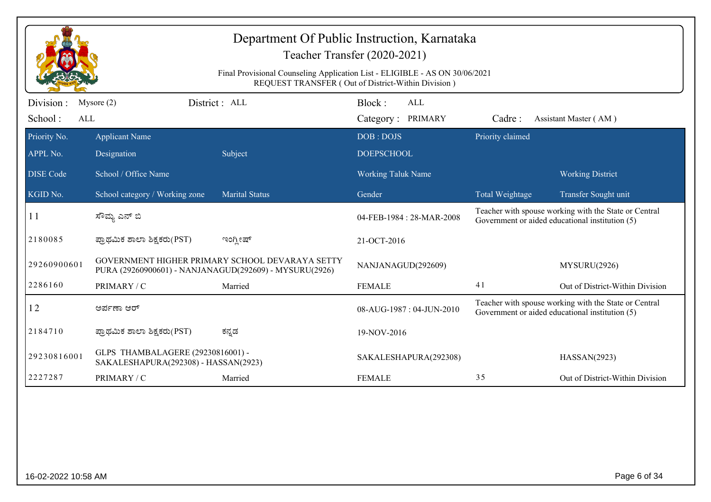|                  |                                                                           | Department Of Public Instruction, Karnataka<br>Teacher Transfer (2020-2021)<br>Final Provisional Counseling Application List - ELIGIBLE - AS ON 30/06/2021<br>REQUEST TRANSFER (Out of District-Within Division) |                           |                  |                                                                                                          |
|------------------|---------------------------------------------------------------------------|------------------------------------------------------------------------------------------------------------------------------------------------------------------------------------------------------------------|---------------------------|------------------|----------------------------------------------------------------------------------------------------------|
| Division :       | Mysore $(2)$                                                              | District: ALL                                                                                                                                                                                                    | Block:<br>ALL             |                  |                                                                                                          |
| School:          | <b>ALL</b>                                                                |                                                                                                                                                                                                                  | Category: PRIMARY         | Cadre:           | Assistant Master (AM)                                                                                    |
| Priority No.     | <b>Applicant Name</b>                                                     |                                                                                                                                                                                                                  | DOB: DOJS                 | Priority claimed |                                                                                                          |
| APPL No.         | Designation                                                               | Subject                                                                                                                                                                                                          | <b>DOEPSCHOOL</b>         |                  |                                                                                                          |
| <b>DISE</b> Code | School / Office Name                                                      |                                                                                                                                                                                                                  | <b>Working Taluk Name</b> |                  | <b>Working District</b>                                                                                  |
| KGID No.         | School category / Working zone                                            | <b>Marital Status</b>                                                                                                                                                                                            | Gender                    | Total Weightage  | Transfer Sought unit                                                                                     |
| 11               | ಸೌಮ್ಯ ಎನ್ ಬಿ                                                              |                                                                                                                                                                                                                  | 04-FEB-1984 : 28-MAR-2008 |                  | Teacher with spouse working with the State or Central<br>Government or aided educational institution (5) |
| 2180085          | ಪ್ರಾಥಮಿಕ ಶಾಲಾ ಶಿಕ್ಷಕರು(PST)                                               | ಇಂಗ್ಲೀಷ್                                                                                                                                                                                                         | 21-OCT-2016               |                  |                                                                                                          |
| 29260900601      |                                                                           | GOVERNMENT HIGHER PRIMARY SCHOOL DEVARAYA SETTY<br>PURA (29260900601) - NANJANAGUD(292609) - MYSURU(2926)                                                                                                        | NANJANAGUD(292609)        |                  | MYSURU(2926)                                                                                             |
| 2286160          | PRIMARY / C                                                               | Married                                                                                                                                                                                                          | <b>FEMALE</b>             | 41               | Out of District-Within Division                                                                          |
| 12               | ಅರ್ಪಣಾ ಆರ್                                                                |                                                                                                                                                                                                                  | 08-AUG-1987: 04-JUN-2010  |                  | Teacher with spouse working with the State or Central<br>Government or aided educational institution (5) |
| 2184710          | ಪ್ರಾಥಮಿಕ ಶಾಲಾ ಶಿಕ್ಷಕರು(PST)                                               | ಕನ್ನಡ                                                                                                                                                                                                            | 19-NOV-2016               |                  |                                                                                                          |
| 29230816001      | GLPS THAMBALAGERE (29230816001) -<br>SAKALESHAPURA(292308) - HASSAN(2923) |                                                                                                                                                                                                                  | SAKALESHAPURA(292308)     |                  | HASSAN(2923)                                                                                             |
| 2227287          | PRIMARY / C                                                               | Married                                                                                                                                                                                                          | <b>FEMALE</b>             | 35               | Out of District-Within Division                                                                          |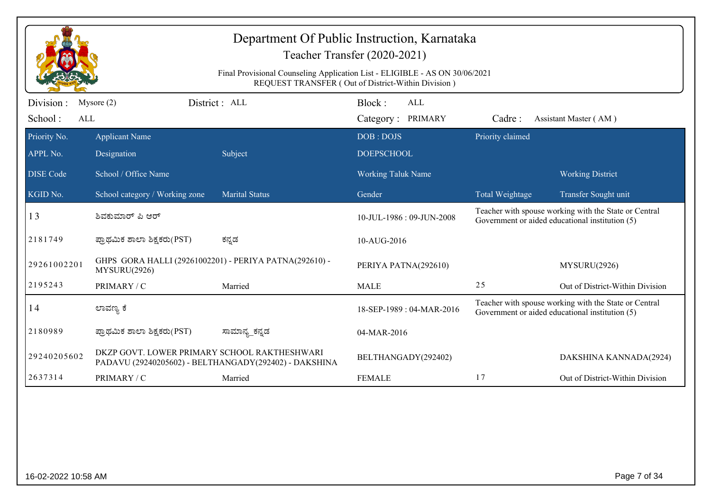| Department Of Public Instruction, Karnataka<br>Teacher Transfer (2020-2021)                                                       |                                                                        |                                                       |                           |                  |                                                                                                          |  |
|-----------------------------------------------------------------------------------------------------------------------------------|------------------------------------------------------------------------|-------------------------------------------------------|---------------------------|------------------|----------------------------------------------------------------------------------------------------------|--|
| Final Provisional Counseling Application List - ELIGIBLE - AS ON 30/06/2021<br>REQUEST TRANSFER (Out of District-Within Division) |                                                                        |                                                       |                           |                  |                                                                                                          |  |
| Division:                                                                                                                         | Mysore $(2)$                                                           | District: ALL                                         | Block:<br><b>ALL</b>      |                  |                                                                                                          |  |
| School:<br>ALL                                                                                                                    |                                                                        |                                                       | Category: PRIMARY         | Cadre:           | Assistant Master (AM)                                                                                    |  |
| Priority No.                                                                                                                      | <b>Applicant Name</b>                                                  |                                                       | DOB: DOJS                 | Priority claimed |                                                                                                          |  |
| APPL No.                                                                                                                          | Designation                                                            | Subject                                               | <b>DOEPSCHOOL</b>         |                  |                                                                                                          |  |
| <b>DISE</b> Code                                                                                                                  | School / Office Name                                                   |                                                       | <b>Working Taluk Name</b> |                  | <b>Working District</b>                                                                                  |  |
| KGID No.                                                                                                                          | School category / Working zone                                         | <b>Marital Status</b>                                 | Gender                    | Total Weightage  | Transfer Sought unit                                                                                     |  |
| 13                                                                                                                                | ಶಿವಕುಮಾರ್ ಪಿ ಆರ್                                                       |                                                       | 10-JUL-1986: 09-JUN-2008  |                  | Teacher with spouse working with the State or Central<br>Government or aided educational institution (5) |  |
| 2181749                                                                                                                           | ಪ್ರಾಥಮಿಕ ಶಾಲಾ ಶಿಕ್ಷಕರು(PST)                                            | ಕನ್ನಡ                                                 | 10-AUG-2016               |                  |                                                                                                          |  |
| 29261002201                                                                                                                       | GHPS GORA HALLI (29261002201) - PERIYA PATNA(292610) -<br>MYSURU(2926) |                                                       | PERIYA PATNA(292610)      |                  | MYSURU(2926)                                                                                             |  |
| 2195243                                                                                                                           | PRIMARY / C                                                            | Married                                               | <b>MALE</b>               | 25               | Out of District-Within Division                                                                          |  |
| 14                                                                                                                                | ಲಾವಣ್ಯ ಕೆ                                                              |                                                       | 18-SEP-1989: 04-MAR-2016  |                  | Teacher with spouse working with the State or Central<br>Government or aided educational institution (5) |  |
| 2180989                                                                                                                           | ಪ್ರಾಥಮಿಕ ಶಾಲಾ ಶಿಕ್ಷಕರು(PST)                                            | ಸಾಮಾನ್ಯ ಕನ್ನಡ                                         | 04-MAR-2016               |                  |                                                                                                          |  |
| 29240205602                                                                                                                       | DKZP GOVT. LOWER PRIMARY SCHOOL RAKTHESHWARI                           | PADAVU (29240205602) - BELTHANGADY(292402) - DAKSHINA | BELTHANGADY(292402)       |                  | DAKSHINA KANNADA(2924)                                                                                   |  |
| 2637314                                                                                                                           | PRIMARY / C                                                            | Married                                               | <b>FEMALE</b>             | 17               | Out of District-Within Division                                                                          |  |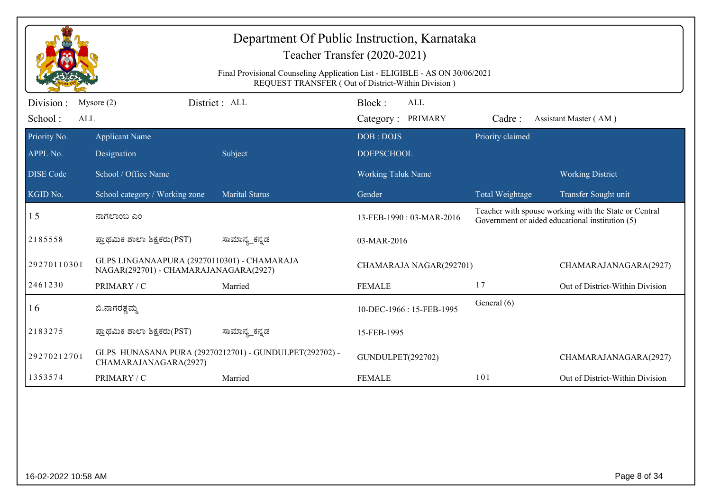|                  | Department Of Public Instruction, Karnataka<br>Teacher Transfer (2020-2021)<br>Final Provisional Counseling Application List - ELIGIBLE - AS ON 30/06/2021<br>REQUEST TRANSFER (Out of District-Within Division) |                                                        |                           |                  |                                                                                                          |  |  |  |
|------------------|------------------------------------------------------------------------------------------------------------------------------------------------------------------------------------------------------------------|--------------------------------------------------------|---------------------------|------------------|----------------------------------------------------------------------------------------------------------|--|--|--|
| Division :       | Mysore $(2)$                                                                                                                                                                                                     | District : ALL                                         | Block:<br><b>ALL</b>      |                  |                                                                                                          |  |  |  |
| School:<br>ALL   |                                                                                                                                                                                                                  |                                                        | Category: PRIMARY         | Cadre:           | Assistant Master (AM)                                                                                    |  |  |  |
| Priority No.     | <b>Applicant Name</b>                                                                                                                                                                                            |                                                        | DOB: DOJS                 | Priority claimed |                                                                                                          |  |  |  |
| APPL No.         | Designation                                                                                                                                                                                                      | Subject                                                | <b>DOEPSCHOOL</b>         |                  |                                                                                                          |  |  |  |
| <b>DISE</b> Code | School / Office Name                                                                                                                                                                                             |                                                        | <b>Working Taluk Name</b> |                  | <b>Working District</b>                                                                                  |  |  |  |
| KGID No.         | School category / Working zone                                                                                                                                                                                   | <b>Marital Status</b>                                  | Gender                    | Total Weightage  | Transfer Sought unit                                                                                     |  |  |  |
| 15               | ನಾಗಲಾಂಬ ಎಂ                                                                                                                                                                                                       |                                                        | 13-FEB-1990 : 03-MAR-2016 |                  | Teacher with spouse working with the State or Central<br>Government or aided educational institution (5) |  |  |  |
| 2185558          | ಪ್ರಾಥಮಿಕ ಶಾಲಾ ಶಿಕ್ಷಕರು(PST)                                                                                                                                                                                      | ಸಾಮಾನ್ಯ_ಕನ್ನಡ                                          | 03-MAR-2016               |                  |                                                                                                          |  |  |  |
| 29270110301      | GLPS LINGANAAPURA (29270110301) - CHAMARAJA<br>NAGAR(292701) - CHAMARAJANAGARA(2927)                                                                                                                             |                                                        | CHAMARAJA NAGAR(292701)   |                  | CHAMARAJANAGARA(2927)                                                                                    |  |  |  |
| 2461230          | PRIMARY / C                                                                                                                                                                                                      | Married                                                | <b>FEMALE</b>             | 17               | Out of District-Within Division                                                                          |  |  |  |
| 16               | ಬಿ.ನಾಗರತ್ವಮ್ಮ                                                                                                                                                                                                    |                                                        | 10-DEC-1966: 15-FEB-1995  | General (6)      |                                                                                                          |  |  |  |
| 2183275          | ಪ್ರಾಥಮಿಕ ಶಾಲಾ ಶಿಕ್ಷಕರು(PST)                                                                                                                                                                                      | ಸಾಮಾನ್ಯ_ಕನ್ನಡ                                          | 15-FEB-1995               |                  |                                                                                                          |  |  |  |
| 29270212701      | CHAMARAJANAGARA(2927)                                                                                                                                                                                            | GLPS HUNASANA PURA (29270212701) - GUNDULPET(292702) - | GUNDULPET(292702)         |                  | CHAMARAJANAGARA(2927)                                                                                    |  |  |  |
| 1353574          | PRIMARY / C                                                                                                                                                                                                      | Married                                                | <b>FEMALE</b>             | 101              | Out of District-Within Division                                                                          |  |  |  |
|                  |                                                                                                                                                                                                                  |                                                        |                           |                  |                                                                                                          |  |  |  |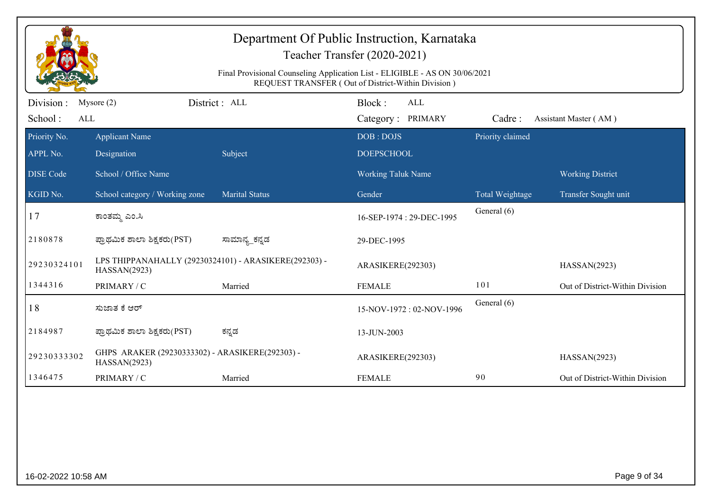|                             |                                                                       | Final Provisional Counseling Application List - ELIGIBLE - AS ON 30/06/2021 | Department Of Public Instruction, Karnataka<br>Teacher Transfer (2020-2021)<br>REQUEST TRANSFER (Out of District-Within Division) |                  |                                 |
|-----------------------------|-----------------------------------------------------------------------|-----------------------------------------------------------------------------|-----------------------------------------------------------------------------------------------------------------------------------|------------------|---------------------------------|
| Division:<br>School:<br>ALL | Mysore $(2)$                                                          | District : ALL                                                              | Block:<br><b>ALL</b><br>Category: PRIMARY                                                                                         | Cadre:           | Assistant Master (AM)           |
| Priority No.<br>APPL No.    | <b>Applicant Name</b><br>Designation                                  | Subject                                                                     | DOB: DOJS<br><b>DOEPSCHOOL</b>                                                                                                    | Priority claimed |                                 |
| <b>DISE Code</b>            | School / Office Name                                                  |                                                                             | <b>Working Taluk Name</b>                                                                                                         |                  | <b>Working District</b>         |
| KGID No.                    | School category / Working zone                                        | <b>Marital Status</b>                                                       | Gender                                                                                                                            | Total Weightage  | Transfer Sought unit            |
| 17                          | ಕಾಂತಮ್ಮ ಎಂ.ಸಿ                                                         |                                                                             | 16-SEP-1974 : 29-DEC-1995                                                                                                         | General (6)      |                                 |
| 2180878                     | ಪ್ರಾಥಮಿಕ ಶಾಲಾ ಶಿಕ್ಷಕರು(PST)                                           | ಸಾಮಾನ್ಯ_ಕನ್ನಡ                                                               | 29-DEC-1995                                                                                                                       |                  |                                 |
| 29230324101                 | LPS THIPPANAHALLY (29230324101) - ARASIKERE(292303) -<br>HASSAN(2923) |                                                                             | ARASIKERE(292303)                                                                                                                 |                  | HASSAN(2923)                    |
| 1344316                     | PRIMARY / C                                                           | Married                                                                     | <b>FEMALE</b>                                                                                                                     | 101              | Out of District-Within Division |
| 18                          | ಸುಜಾತ ಕೆ ಆರ್                                                          |                                                                             | 15-NOV-1972: 02-NOV-1996                                                                                                          | General (6)      |                                 |
| 2184987                     | ಪ್ರಾಥಮಿಕ ಶಾಲಾ ಶಿಕ್ಷಕರು(PST)                                           | ಕನ್ನಡ                                                                       | 13-JUN-2003                                                                                                                       |                  |                                 |
| 29230333302                 | GHPS ARAKER (29230333302) - ARASIKERE(292303) -<br>HASSAN(2923)       |                                                                             | ARASIKERE(292303)                                                                                                                 |                  | HASSAN(2923)                    |
| 1346475                     | PRIMARY / C                                                           | Married                                                                     | <b>FEMALE</b>                                                                                                                     | 90               | Out of District-Within Division |
|                             |                                                                       |                                                                             |                                                                                                                                   |                  |                                 |
| 16-02-2022 10:58 AM         |                                                                       |                                                                             |                                                                                                                                   |                  | Page 9 of 34                    |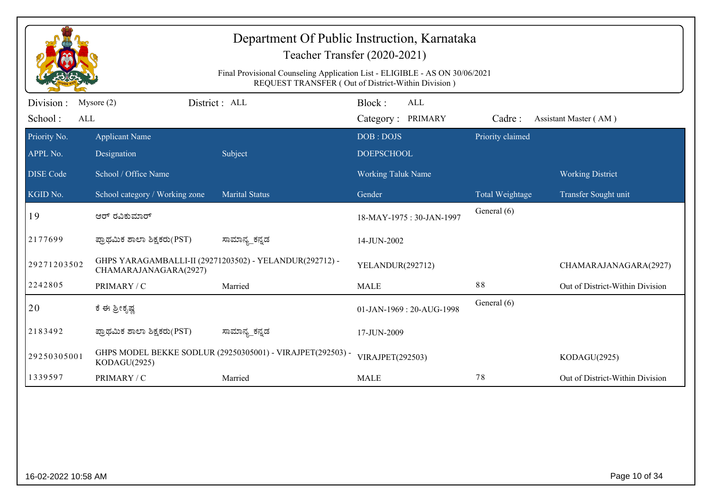|                              | Department Of Public Instruction, Karnataka<br>Teacher Transfer (2020-2021)<br>Final Provisional Counseling Application List - ELIGIBLE - AS ON 30/06/2021<br>REQUEST TRANSFER (Out of District-Within Division) |                                                            |                                           |                  |                                 |  |  |  |
|------------------------------|------------------------------------------------------------------------------------------------------------------------------------------------------------------------------------------------------------------|------------------------------------------------------------|-------------------------------------------|------------------|---------------------------------|--|--|--|
| Division :<br>School:<br>ALL | Mysore $(2)$                                                                                                                                                                                                     | District : ALL                                             | Block:<br><b>ALL</b><br>Category: PRIMARY | Cadre:           | Assistant Master (AM)           |  |  |  |
| Priority No.<br>APPL No.     | <b>Applicant Name</b><br>Designation                                                                                                                                                                             | Subject                                                    | DOB: DOJS<br><b>DOEPSCHOOL</b>            | Priority claimed |                                 |  |  |  |
| <b>DISE Code</b>             | School / Office Name                                                                                                                                                                                             |                                                            | <b>Working Taluk Name</b>                 |                  | <b>Working District</b>         |  |  |  |
| KGID No.                     | School category / Working zone                                                                                                                                                                                   | <b>Marital Status</b>                                      | Gender                                    | Total Weightage  | Transfer Sought unit            |  |  |  |
| 19                           | ಆರ್ ರವಿಕುಮಾರ್                                                                                                                                                                                                    |                                                            | 18-MAY-1975: 30-JAN-1997                  | General (6)      |                                 |  |  |  |
| 2177699                      | ಪ್ರಾಥಮಿಕ ಶಾಲಾ ಶಿಕ್ಷಕರು(PST)                                                                                                                                                                                      | ಸಾಮಾನ್ಯ_ಕನ್ನಡ                                              | 14-JUN-2002                               |                  |                                 |  |  |  |
| 29271203502                  | CHAMARAJANAGARA(2927)                                                                                                                                                                                            | GHPS YARAGAMBALLI-II (29271203502) - YELANDUR(292712) -    | YELANDUR(292712)                          |                  | CHAMARAJANAGARA(2927)           |  |  |  |
| 2242805                      | PRIMARY / C                                                                                                                                                                                                      | Married                                                    | <b>MALE</b>                               | 88               | Out of District-Within Division |  |  |  |
| 20                           | ಕೆ ಈ ಶ್ರೀಕೃಷ್ಣ                                                                                                                                                                                                   |                                                            | 01-JAN-1969: 20-AUG-1998                  | General (6)      |                                 |  |  |  |
| 2183492                      | ಪ್ರಾಥಮಿಕ ಶಾಲಾ ಶಿಕ್ಷಕರು(PST)                                                                                                                                                                                      | ಸಾಮಾನ್ಯ_ಕನ್ನಡ                                              | 17-JUN-2009                               |                  |                                 |  |  |  |
| 29250305001                  | KODAGU(2925)                                                                                                                                                                                                     | GHPS MODEL BEKKE SODLUR (29250305001) - VIRAJPET(292503) - | VIRAJPET(292503)                          |                  | KODAGU(2925)                    |  |  |  |
| 1339597                      | PRIMARY / C                                                                                                                                                                                                      | Married                                                    | <b>MALE</b>                               | 78               | Out of District-Within Division |  |  |  |
|                              |                                                                                                                                                                                                                  |                                                            |                                           |                  |                                 |  |  |  |
| 16-02-2022 10:58 AM          |                                                                                                                                                                                                                  |                                                            |                                           |                  | Page 10 of 34                   |  |  |  |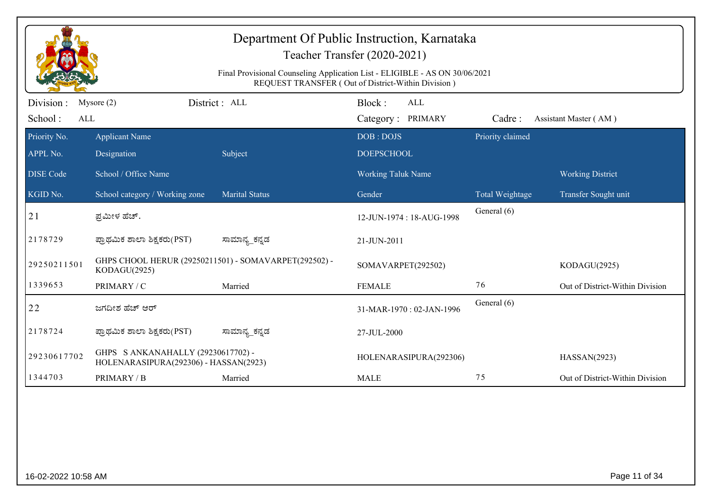|                              |                                                                             | Final Provisional Counseling Application List - ELIGIBLE - AS ON 30/06/2021 | Department Of Public Instruction, Karnataka<br>Teacher Transfer (2020-2021) |                  |                                 |
|------------------------------|-----------------------------------------------------------------------------|-----------------------------------------------------------------------------|-----------------------------------------------------------------------------|------------------|---------------------------------|
|                              |                                                                             |                                                                             | REQUEST TRANSFER (Out of District-Within Division)                          |                  |                                 |
| Division :<br>School:<br>ALL | Mysore $(2)$                                                                | District: ALL                                                               | Block:<br><b>ALL</b><br>Category: PRIMARY                                   | Cadre:           | Assistant Master (AM)           |
| Priority No.                 | <b>Applicant Name</b>                                                       |                                                                             | DOB: DOJS                                                                   | Priority claimed |                                 |
| APPL No.                     | Designation                                                                 | Subject                                                                     | <b>DOEPSCHOOL</b>                                                           |                  |                                 |
| <b>DISE Code</b>             | School / Office Name                                                        |                                                                             | <b>Working Taluk Name</b>                                                   |                  | <b>Working District</b>         |
| KGID No.                     | School category / Working zone                                              | <b>Marital Status</b>                                                       | Gender                                                                      | Total Weightage  | Transfer Sought unit            |
| 21                           | ಪ್ರಮೀಳ ಹೆಚ್.                                                                |                                                                             | 12-JUN-1974: 18-AUG-1998                                                    | General (6)      |                                 |
| 2178729                      | ಪ್ರಾಥಮಿಕ ಶಾಲಾ ಶಿಕ್ಷಕರು(PST)                                                 | ಸಾಮಾನ್ಯ_ಕನ್ನಡ                                                               | 21-JUN-2011                                                                 |                  |                                 |
| 29250211501                  | GHPS CHOOL HERUR (29250211501) - SOMAVARPET(292502) -<br>KODAGU(2925)       |                                                                             | SOMAVARPET(292502)                                                          |                  | KODAGU(2925)                    |
| 1339653                      | PRIMARY / C                                                                 | Married                                                                     | <b>FEMALE</b>                                                               | 76               | Out of District-Within Division |
| 22                           | ಜಗದೀಶ ಹೆಚ್ ಆರ್                                                              |                                                                             | 31-MAR-1970: 02-JAN-1996                                                    | General (6)      |                                 |
| 2178724                      | ಪ್ರಾಥಮಿಕ ಶಾಲಾ ಶಿಕ್ಷಕರು(PST)                                                 | ಸಾಮಾನ್ಯ_ಕನ್ನಡ                                                               | 27-JUL-2000                                                                 |                  |                                 |
| 29230617702                  | GHPS S ANKANAHALLY (29230617702) -<br>HOLENARASIPURA(292306) - HASSAN(2923) |                                                                             | HOLENARASIPURA(292306)                                                      |                  | HASSAN(2923)                    |
| 1344703                      | PRIMARY / B                                                                 | Married                                                                     | <b>MALE</b>                                                                 | 75               | Out of District-Within Division |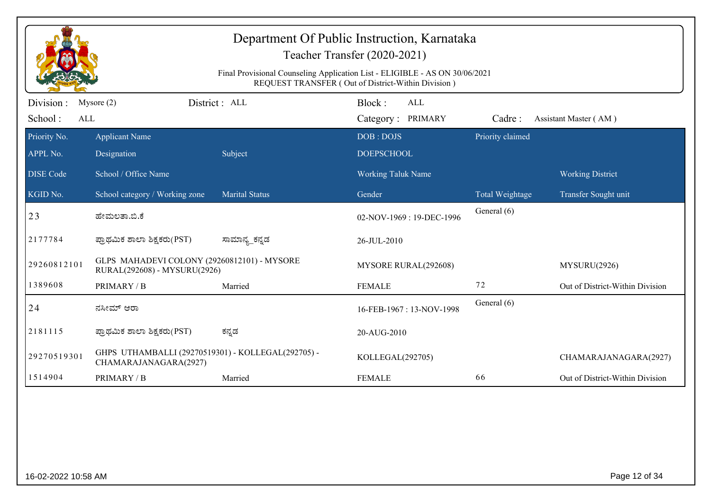|                              | Department Of Public Instruction, Karnataka<br>Teacher Transfer (2020-2021)<br>Final Provisional Counseling Application List - ELIGIBLE - AS ON 30/06/2021<br>REQUEST TRANSFER (Out of District-Within Division) |                       |                                           |                  |                                 |  |  |  |  |
|------------------------------|------------------------------------------------------------------------------------------------------------------------------------------------------------------------------------------------------------------|-----------------------|-------------------------------------------|------------------|---------------------------------|--|--|--|--|
| Division :<br>School:<br>ALL | Mysore $(2)$                                                                                                                                                                                                     | District: ALL         | Block:<br><b>ALL</b><br>Category: PRIMARY | Cadre:           | Assistant Master (AM)           |  |  |  |  |
| Priority No.<br>APPL No.     | <b>Applicant Name</b><br>Designation                                                                                                                                                                             | Subject               | DOB: DOJS<br><b>DOEPSCHOOL</b>            | Priority claimed |                                 |  |  |  |  |
| <b>DISE</b> Code             | School / Office Name                                                                                                                                                                                             |                       | <b>Working Taluk Name</b>                 |                  | <b>Working District</b>         |  |  |  |  |
| KGID No.                     | School category / Working zone                                                                                                                                                                                   | <b>Marital Status</b> | Gender                                    | Total Weightage  | Transfer Sought unit            |  |  |  |  |
| 23                           | ಹೇಮಲತಾ.ಬಿ.ಕೆ                                                                                                                                                                                                     |                       | 02-NOV-1969: 19-DEC-1996                  | General (6)      |                                 |  |  |  |  |
| 2177784                      | ಪ್ರಾಥಮಿಕ ಶಾಲಾ ಶಿಕ್ಷಕರು(PST)                                                                                                                                                                                      | ಸಾಮಾನ್ಯ_ಕನ್ನಡ         | 26-JUL-2010                               |                  |                                 |  |  |  |  |
| 29260812101                  | GLPS MAHADEVI COLONY (29260812101) - MYSORE<br>RURAL(292608) - MYSURU(2926)                                                                                                                                      |                       | MYSORE RURAL(292608)                      |                  | MYSURU(2926)                    |  |  |  |  |
| 1389608                      | PRIMARY / B                                                                                                                                                                                                      | Married               | <b>FEMALE</b>                             | 72               | Out of District-Within Division |  |  |  |  |
| 24                           | ನಸೀಮ್ ಆರಾ                                                                                                                                                                                                        |                       | 16-FEB-1967: 13-NOV-1998                  | General (6)      |                                 |  |  |  |  |
| 2181115                      | ಪ್ರಾಥಮಿಕ ಶಾಲಾ ಶಿಕ್ಷಕರು(PST)                                                                                                                                                                                      | ಕನ್ನಡ                 | 20-AUG-2010                               |                  |                                 |  |  |  |  |
| 29270519301                  | GHPS UTHAMBALLI (29270519301) - KOLLEGAL(292705) -<br>CHAMARAJANAGARA(2927)                                                                                                                                      |                       | KOLLEGAL(292705)                          |                  | CHAMARAJANAGARA(2927)           |  |  |  |  |
| 1514904                      | PRIMARY / B                                                                                                                                                                                                      | Married               | <b>FEMALE</b>                             | 66               | Out of District-Within Division |  |  |  |  |
|                              |                                                                                                                                                                                                                  |                       |                                           |                  |                                 |  |  |  |  |
| 16-02-2022 10:58 AM          |                                                                                                                                                                                                                  |                       |                                           |                  | Page 12 of 34                   |  |  |  |  |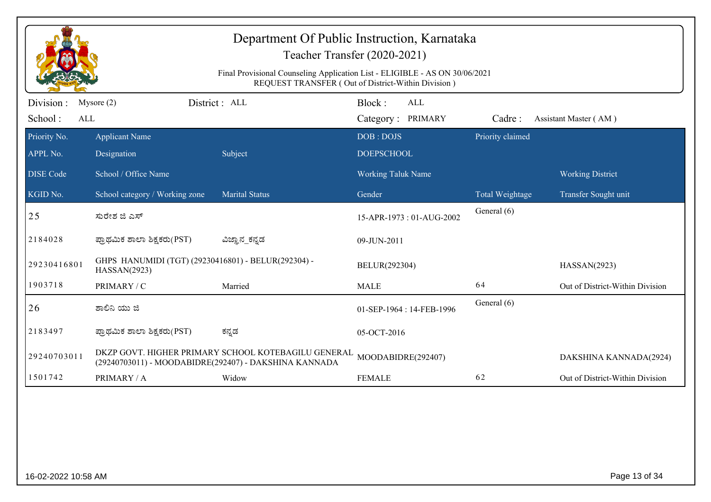| Department Of Public Instruction, Karnataka<br>Teacher Transfer (2020-2021)<br>Final Provisional Counseling Application List - ELIGIBLE - AS ON 30/06/2021<br>REQUEST TRANSFER (Out of District-Within Division) |                                                                     |                                                                                                              |                                           |                  |                                 |  |  |
|------------------------------------------------------------------------------------------------------------------------------------------------------------------------------------------------------------------|---------------------------------------------------------------------|--------------------------------------------------------------------------------------------------------------|-------------------------------------------|------------------|---------------------------------|--|--|
| Division :<br>School:<br>ALL                                                                                                                                                                                     | Mysore $(2)$                                                        | District : ALL                                                                                               | Block:<br><b>ALL</b><br>Category: PRIMARY | Cadre:           | Assistant Master (AM)           |  |  |
| Priority No.<br>APPL No.                                                                                                                                                                                         | <b>Applicant Name</b><br>Designation                                | Subject                                                                                                      | DOB: DOJS<br><b>DOEPSCHOOL</b>            | Priority claimed |                                 |  |  |
| <b>DISE</b> Code                                                                                                                                                                                                 | School / Office Name                                                |                                                                                                              | Working Taluk Name                        |                  | <b>Working District</b>         |  |  |
| KGID No.                                                                                                                                                                                                         | School category / Working zone                                      | <b>Marital Status</b>                                                                                        | Gender                                    | Total Weightage  | Transfer Sought unit            |  |  |
| 25                                                                                                                                                                                                               | ಸುರೇಶ ಜಿ ಎಸ್                                                        |                                                                                                              | 15-APR-1973: 01-AUG-2002                  | General (6)      |                                 |  |  |
| 2184028                                                                                                                                                                                                          | ಪ್ರಾಥಮಿಕ ಶಾಲಾ ಶಿಕ್ಷಕರು(PST)                                         | ವಿಜ್ಞಾನ_ಕನ್ನಡ                                                                                                | 09-JUN-2011                               |                  |                                 |  |  |
| 29230416801                                                                                                                                                                                                      | GHPS HANUMIDI (TGT) (29230416801) - BELUR(292304) -<br>HASSAN(2923) |                                                                                                              | BELUR(292304)                             |                  | HASSAN(2923)                    |  |  |
| 1903718                                                                                                                                                                                                          | PRIMARY / C                                                         | Married                                                                                                      | <b>MALE</b>                               | 64               | Out of District-Within Division |  |  |
| 26                                                                                                                                                                                                               | ಶಾಲಿನಿ ಯು ಜಿ                                                        |                                                                                                              | 01-SEP-1964: 14-FEB-1996                  | General (6)      |                                 |  |  |
| 2183497                                                                                                                                                                                                          | ಪ್ರಾಥಮಿಕ ಶಾಲಾ ಶಿಕ್ಷಕರು(PST)                                         | ಕನ್ನಡ                                                                                                        | 05-OCT-2016                               |                  |                                 |  |  |
| 29240703011                                                                                                                                                                                                      |                                                                     | DKZP GOVT. HIGHER PRIMARY SCHOOL KOTEBAGILU GENERAL<br>(29240703011) - MOODABIDRE(292407) - DAKSHINA KANNADA | MOODABIDRE(292407)                        |                  | DAKSHINA KANNADA(2924)          |  |  |
| 1501742                                                                                                                                                                                                          | PRIMARY / A                                                         | Widow                                                                                                        | <b>FEMALE</b>                             | 62               | Out of District-Within Division |  |  |
|                                                                                                                                                                                                                  |                                                                     |                                                                                                              |                                           |                  |                                 |  |  |
| 16-02-2022 10:58 AM                                                                                                                                                                                              |                                                                     |                                                                                                              |                                           |                  | Page 13 of 34                   |  |  |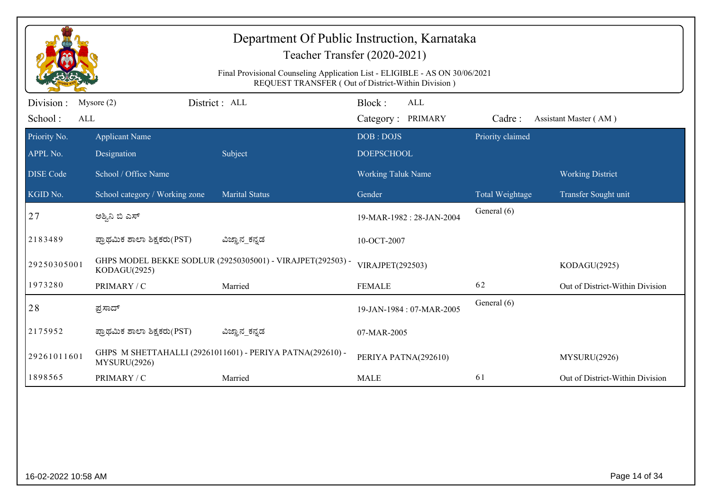| Department Of Public Instruction, Karnataka<br>Teacher Transfer (2020-2021)<br>Final Provisional Counseling Application List - ELIGIBLE - AS ON 30/06/2021<br>REQUEST TRANSFER (Out of District-Within Division) |                                      |                                                            |                                           |                  |                                 |  |  |
|------------------------------------------------------------------------------------------------------------------------------------------------------------------------------------------------------------------|--------------------------------------|------------------------------------------------------------|-------------------------------------------|------------------|---------------------------------|--|--|
| Division :<br>School:<br>ALL                                                                                                                                                                                     | Mysore $(2)$                         | District: ALL                                              | Block:<br><b>ALL</b><br>Category: PRIMARY | Cadre:           | Assistant Master (AM)           |  |  |
| Priority No.<br>APPL No.                                                                                                                                                                                         | <b>Applicant Name</b><br>Designation | Subject                                                    | DOB: DOJS<br><b>DOEPSCHOOL</b>            | Priority claimed |                                 |  |  |
| <b>DISE</b> Code                                                                                                                                                                                                 | School / Office Name                 |                                                            | <b>Working Taluk Name</b>                 |                  | <b>Working District</b>         |  |  |
| KGID No.                                                                                                                                                                                                         | School category / Working zone       | <b>Marital Status</b>                                      | Gender                                    | Total Weightage  | Transfer Sought unit            |  |  |
| 27                                                                                                                                                                                                               | ಅಶ್ವಿನಿ ಬಿ ಎಸ್                       |                                                            | 19-MAR-1982: 28-JAN-2004                  | General (6)      |                                 |  |  |
| 2183489                                                                                                                                                                                                          | ಪ್ರಾಥಮಿಕ ಶಾಲಾ ಶಿಕ್ಷಕರು(PST)          | ವಿಜ್ಞಾನ_ಕನ್ನಡ                                              | 10-OCT-2007                               |                  |                                 |  |  |
| 29250305001                                                                                                                                                                                                      | KODAGU(2925)                         | GHPS MODEL BEKKE SODLUR (29250305001) - VIRAJPET(292503) - | VIRAJPET(292503)                          |                  | KODAGU(2925)                    |  |  |
| 1973280                                                                                                                                                                                                          | PRIMARY / C                          | Married                                                    | <b>FEMALE</b>                             | 62               | Out of District-Within Division |  |  |
| 28                                                                                                                                                                                                               | ಪ್ರಸಾದ್                              |                                                            | 19-JAN-1984: 07-MAR-2005                  | General (6)      |                                 |  |  |
| 2175952                                                                                                                                                                                                          | ಪ್ರಾಥಮಿಕ ಶಾಲಾ ಶಿಕ್ಷಕರು(PST)          | ವಿಜ್ಞಾನ_ಕನ್ನಡ                                              | 07-MAR-2005                               |                  |                                 |  |  |
| 29261011601                                                                                                                                                                                                      | MYSURU(2926)                         | GHPS M SHETTAHALLI (29261011601) - PERIYA PATNA(292610) -  | PERIYA PATNA(292610)                      |                  | MYSURU(2926)                    |  |  |
| 1898565                                                                                                                                                                                                          | PRIMARY / C                          | Married                                                    | <b>MALE</b>                               | 61               | Out of District-Within Division |  |  |
|                                                                                                                                                                                                                  |                                      |                                                            |                                           |                  |                                 |  |  |
| 16-02-2022 10:58 AM                                                                                                                                                                                              |                                      |                                                            |                                           |                  | Page 14 of 34                   |  |  |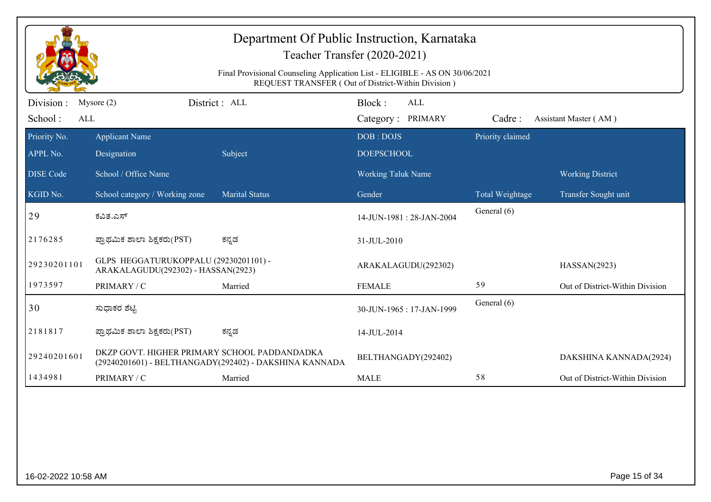| Department Of Public Instruction, Karnataka<br>Teacher Transfer (2020-2021)<br>Final Provisional Counseling Application List - ELIGIBLE - AS ON 30/06/2021<br>REQUEST TRANSFER (Out of District-Within Division) |                                                                             |                                                        |                                           |                  |                                 |  |  |
|------------------------------------------------------------------------------------------------------------------------------------------------------------------------------------------------------------------|-----------------------------------------------------------------------------|--------------------------------------------------------|-------------------------------------------|------------------|---------------------------------|--|--|
| Division :<br>School:<br>ALL                                                                                                                                                                                     | Mysore $(2)$                                                                | District : ALL                                         | Block:<br><b>ALL</b><br>Category: PRIMARY | Cadre:           | Assistant Master (AM)           |  |  |
| Priority No.<br>APPL No.                                                                                                                                                                                         | <b>Applicant Name</b><br>Designation                                        | Subject                                                | DOB: DOJS<br><b>DOEPSCHOOL</b>            | Priority claimed |                                 |  |  |
| <b>DISE Code</b>                                                                                                                                                                                                 | School / Office Name                                                        |                                                        | <b>Working Taluk Name</b>                 |                  | <b>Working District</b>         |  |  |
| KGID No.                                                                                                                                                                                                         | School category / Working zone                                              | <b>Marital Status</b>                                  | Gender                                    | Total Weightage  | Transfer Sought unit            |  |  |
| 29                                                                                                                                                                                                               | ಕವಿತ.ಎಸ್                                                                    |                                                        | 14-JUN-1981: 28-JAN-2004                  | General (6)      |                                 |  |  |
| 2176285                                                                                                                                                                                                          | ಪ್ರಾಥಮಿಕ ಶಾಲಾ ಶಿಕ್ಷಕರು(PST)                                                 | ಕನ್ನಡ                                                  | 31-JUL-2010                               |                  |                                 |  |  |
| 29230201101                                                                                                                                                                                                      | GLPS HEGGATURUKOPPALU (29230201101) -<br>ARAKALAGUDU(292302) - HASSAN(2923) |                                                        | ARAKALAGUDU(292302)                       |                  | HASSAN(2923)                    |  |  |
| 1973597                                                                                                                                                                                                          | PRIMARY / C                                                                 | Married                                                | <b>FEMALE</b>                             | 59               | Out of District-Within Division |  |  |
| 30                                                                                                                                                                                                               | ಸುಧಾಕರ ಶೆಟ್ಟಿ                                                               |                                                        | 30-JUN-1965: 17-JAN-1999                  | General (6)      |                                 |  |  |
| 2181817                                                                                                                                                                                                          | ಪ್ರಾಥಮಿಕ ಶಾಲಾ ಶಿಕ್ಷಕರು(PST)                                                 | ಕನ್ನಡ                                                  | 14-JUL-2014                               |                  |                                 |  |  |
| 29240201601                                                                                                                                                                                                      | DKZP GOVT. HIGHER PRIMARY SCHOOL PADDANDADKA                                | (29240201601) - BELTHANGADY(292402) - DAKSHINA KANNADA | BELTHANGADY(292402)                       |                  | DAKSHINA KANNADA(2924)          |  |  |
| 1434981                                                                                                                                                                                                          | PRIMARY / C                                                                 | Married                                                | <b>MALE</b>                               | 58               | Out of District-Within Division |  |  |
|                                                                                                                                                                                                                  |                                                                             |                                                        |                                           |                  |                                 |  |  |
| 16-02-2022 10:58 AM                                                                                                                                                                                              |                                                                             |                                                        |                                           |                  | Page 15 of 34                   |  |  |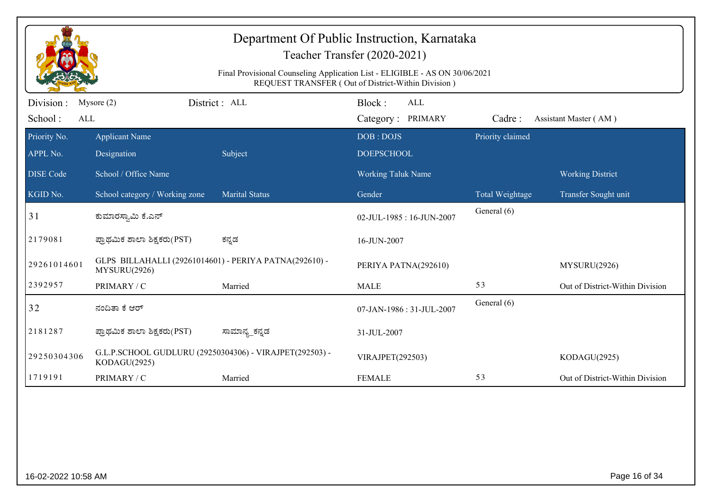| Department Of Public Instruction, Karnataka<br>Teacher Transfer (2020-2021)<br>Final Provisional Counseling Application List - ELIGIBLE - AS ON 30/06/2021<br>REQUEST TRANSFER (Out of District-Within Division) |                                                                         |                       |                                           |                  |                                 |  |  |
|------------------------------------------------------------------------------------------------------------------------------------------------------------------------------------------------------------------|-------------------------------------------------------------------------|-----------------------|-------------------------------------------|------------------|---------------------------------|--|--|
| Division :<br>School:<br>ALL                                                                                                                                                                                     | Mysore $(2)$                                                            | District : ALL        | Block:<br><b>ALL</b><br>Category: PRIMARY | Cadre:           | Assistant Master (AM)           |  |  |
| Priority No.<br>APPL No.                                                                                                                                                                                         | <b>Applicant Name</b><br>Designation                                    | Subject               | DOB: DOJS<br><b>DOEPSCHOOL</b>            | Priority claimed |                                 |  |  |
| <b>DISE Code</b>                                                                                                                                                                                                 | School / Office Name                                                    |                       | Working Taluk Name                        |                  | <b>Working District</b>         |  |  |
| KGID No.                                                                                                                                                                                                         | School category / Working zone                                          | <b>Marital Status</b> | Gender                                    | Total Weightage  | Transfer Sought unit            |  |  |
| 31                                                                                                                                                                                                               | ಕುಮಾರಸ್ವಾಮಿ ಕೆ.ಎನ್                                                      |                       | 02-JUL-1985: 16-JUN-2007                  | General (6)      |                                 |  |  |
| 2179081                                                                                                                                                                                                          | ಪ್ರಾಥಮಿಕ ಶಾಲಾ ಶಿಕ್ಷಕರು(PST)                                             | ಕನ್ನಡ                 | 16-JUN-2007                               |                  |                                 |  |  |
| 29261014601                                                                                                                                                                                                      | GLPS BILLAHALLI (29261014601) - PERIYA PATNA(292610) -<br>MYSURU(2926)  |                       | PERIYA PATNA(292610)                      |                  | MYSURU(2926)                    |  |  |
| 2392957                                                                                                                                                                                                          | PRIMARY / C                                                             | Married               | <b>MALE</b>                               | 53               | Out of District-Within Division |  |  |
| 32                                                                                                                                                                                                               | ನಂದಿತಾ ಕೆ ಆರ್                                                           |                       | 07-JAN-1986: 31-JUL-2007                  | General (6)      |                                 |  |  |
| 2181287                                                                                                                                                                                                          | ಪ್ರಾಥಮಿಕ ಶಾಲಾ ಶಿಕ್ಷಕರು(PST)                                             | ಸಾಮಾನ್ಯ_ಕನ್ನಡ         | 31-JUL-2007                               |                  |                                 |  |  |
| 29250304306                                                                                                                                                                                                      | G.L.P.SCHOOL GUDLURU (29250304306) - VIRAJPET(292503) -<br>KODAGU(2925) |                       | VIRAJPET(292503)                          |                  | KODAGU(2925)                    |  |  |
| 1719191                                                                                                                                                                                                          | PRIMARY / C                                                             | Married               | <b>FEMALE</b>                             | 53               | Out of District-Within Division |  |  |
|                                                                                                                                                                                                                  |                                                                         |                       |                                           |                  |                                 |  |  |
| 16-02-2022 10:58 AM                                                                                                                                                                                              |                                                                         |                       |                                           |                  | Page 16 of 34                   |  |  |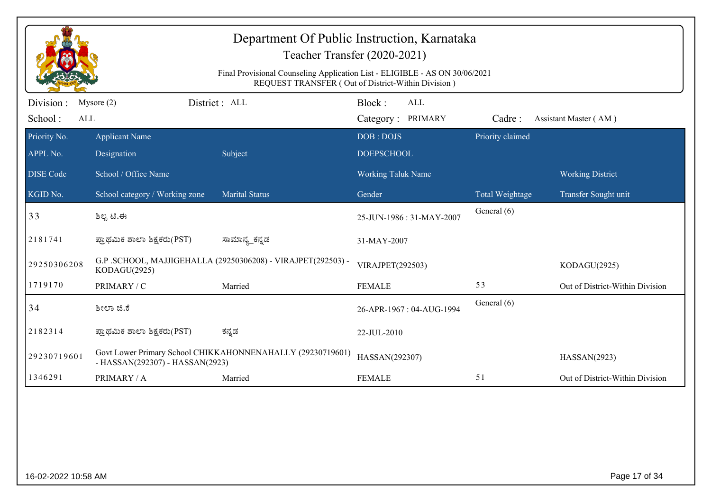| Department Of Public Instruction, Karnataka<br>Teacher Transfer (2020-2021)<br>Final Provisional Counseling Application List - ELIGIBLE - AS ON 30/06/2021 |                                      |                                                              |                                                    |                  |                                 |  |  |
|------------------------------------------------------------------------------------------------------------------------------------------------------------|--------------------------------------|--------------------------------------------------------------|----------------------------------------------------|------------------|---------------------------------|--|--|
|                                                                                                                                                            |                                      |                                                              | REQUEST TRANSFER (Out of District-Within Division) |                  |                                 |  |  |
| Division :<br>School:<br>ALL                                                                                                                               | Mysore $(2)$                         | District: ALL                                                | Block:<br>ALL<br>Category: PRIMARY                 | Cadre:           | Assistant Master (AM)           |  |  |
| Priority No.<br>APPL No.                                                                                                                                   | <b>Applicant Name</b><br>Designation | Subject                                                      | DOB: DOJS<br><b>DOEPSCHOOL</b>                     | Priority claimed |                                 |  |  |
| <b>DISE</b> Code                                                                                                                                           | School / Office Name                 |                                                              | <b>Working Taluk Name</b>                          |                  | <b>Working District</b>         |  |  |
| KGID No.                                                                                                                                                   | School category / Working zone       | <b>Marital Status</b>                                        | Gender                                             | Total Weightage  | Transfer Sought unit            |  |  |
| 33                                                                                                                                                         | ಶಿಲ್ಪ ಟಿ.ಈ                           |                                                              | 25-JUN-1986: 31-MAY-2007                           | General (6)      |                                 |  |  |
| 2181741                                                                                                                                                    | ಪ್ರಾಥಮಿಕ ಶಾಲಾ ಶಿಕ್ಷಕರು(PST)          | ಸಾಮಾನ್ಯ_ಕನ್ನಡ                                                | 31-MAY-2007                                        |                  |                                 |  |  |
| 29250306208                                                                                                                                                | KODAGU(2925)                         | G.P. SCHOOL, MAJJIGEHALLA (29250306208) - VIRAJPET(292503) - | VIRAJPET(292503)                                   |                  | KODAGU(2925)                    |  |  |
| 1719170                                                                                                                                                    | PRIMARY / C                          | Married                                                      | <b>FEMALE</b>                                      | 53               | Out of District-Within Division |  |  |
| 34                                                                                                                                                         | ಶೀಲಾ ಜಿ.ಕೆ                           |                                                              | 26-APR-1967: 04-AUG-1994                           | General (6)      |                                 |  |  |
| 2182314                                                                                                                                                    | ಪ್ರಾಥಮಿಕ ಶಾಲಾ ಶಿಕ್ಷಕರು(PST)          | ಕನ್ನಡ                                                        | 22-JUL-2010                                        |                  |                                 |  |  |
| 29230719601                                                                                                                                                | - HASSAN(292307) - HASSAN(2923)      | Govt Lower Primary School CHIKKAHONNENAHALLY (29230719601)   | HASSAN(292307)                                     |                  | HASSAN(2923)                    |  |  |
| 1346291                                                                                                                                                    | PRIMARY / A                          | Married                                                      | <b>FEMALE</b>                                      | 51               | Out of District-Within Division |  |  |
|                                                                                                                                                            |                                      |                                                              |                                                    |                  |                                 |  |  |
| 16-02-2022 10:58 AM                                                                                                                                        |                                      |                                                              |                                                    |                  | Page 17 of 34                   |  |  |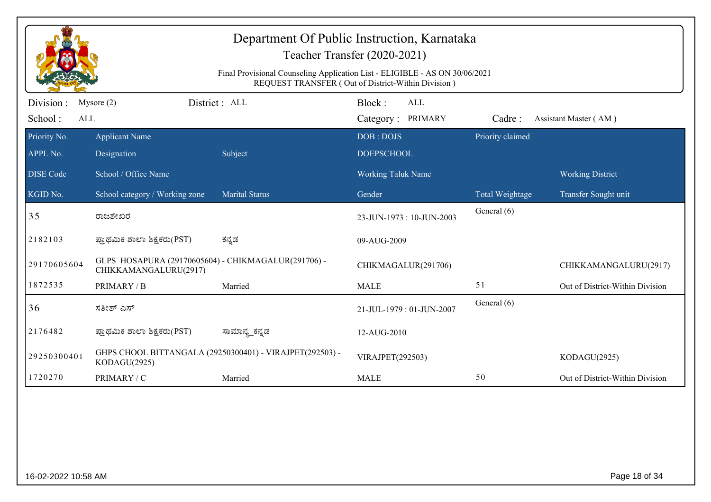| Department Of Public Instruction, Karnataka<br>Teacher Transfer (2020-2021)<br>Final Provisional Counseling Application List - ELIGIBLE - AS ON 30/06/2021<br>REQUEST TRANSFER (Out of District-Within Division) |                                                                              |                                                          |                                    |                  |                                 |  |  |
|------------------------------------------------------------------------------------------------------------------------------------------------------------------------------------------------------------------|------------------------------------------------------------------------------|----------------------------------------------------------|------------------------------------|------------------|---------------------------------|--|--|
| Division :<br>School:<br>ALL                                                                                                                                                                                     | Mysore $(2)$                                                                 | District: ALL                                            | Block:<br>ALL<br>Category: PRIMARY | Cadre:           | Assistant Master (AM)           |  |  |
| Priority No.<br>APPL No.                                                                                                                                                                                         | <b>Applicant Name</b><br>Designation                                         | Subject                                                  | DOB: DOJS<br><b>DOEPSCHOOL</b>     | Priority claimed |                                 |  |  |
| <b>DISE Code</b>                                                                                                                                                                                                 | School / Office Name                                                         |                                                          | Working Taluk Name                 |                  | <b>Working District</b>         |  |  |
| KGID No.                                                                                                                                                                                                         | School category / Working zone                                               | <b>Marital Status</b>                                    | Gender                             | Total Weightage  | Transfer Sought unit            |  |  |
| 35                                                                                                                                                                                                               | ರಾಜಶೇಖರ                                                                      |                                                          | 23-JUN-1973: 10-JUN-2003           | General (6)      |                                 |  |  |
| 2182103                                                                                                                                                                                                          | ಪ್ರಾಥಮಿಕ ಶಾಲಾ ಶಿಕ್ಷಕರು(PST)                                                  | ಕನ್ನಡ                                                    | 09-AUG-2009                        |                  |                                 |  |  |
| 29170605604                                                                                                                                                                                                      | GLPS HOSAPURA (29170605604) - CHIKMAGALUR(291706) -<br>CHIKKAMANGALURU(2917) |                                                          | CHIKMAGALUR(291706)                |                  | CHIKKAMANGALURU(2917)           |  |  |
| 1872535                                                                                                                                                                                                          | PRIMARY / B                                                                  | Married                                                  | <b>MALE</b>                        | 51               | Out of District-Within Division |  |  |
| 36                                                                                                                                                                                                               | ಸತೀಶ್ ಎಸ್                                                                    |                                                          | 21-JUL-1979: 01-JUN-2007           | General (6)      |                                 |  |  |
| 2176482                                                                                                                                                                                                          | ಪ್ರಾಥಮಿಕ ಶಾಲಾ ಶಿಕ್ಷಕರು(PST)                                                  | ಸಾಮಾನ್ಯ_ಕನ್ನಡ                                            | 12-AUG-2010                        |                  |                                 |  |  |
| 29250300401                                                                                                                                                                                                      | KODAGU(2925)                                                                 | GHPS CHOOL BITTANGALA (29250300401) - VIRAJPET(292503) - | VIRAJPET(292503)                   |                  | KODAGU(2925)                    |  |  |
| 1720270                                                                                                                                                                                                          | PRIMARY / C                                                                  | Married                                                  | <b>MALE</b>                        | 50               | Out of District-Within Division |  |  |
|                                                                                                                                                                                                                  |                                                                              |                                                          |                                    |                  |                                 |  |  |
| 16-02-2022 10:58 AM                                                                                                                                                                                              |                                                                              |                                                          |                                    |                  | Page 18 of 34                   |  |  |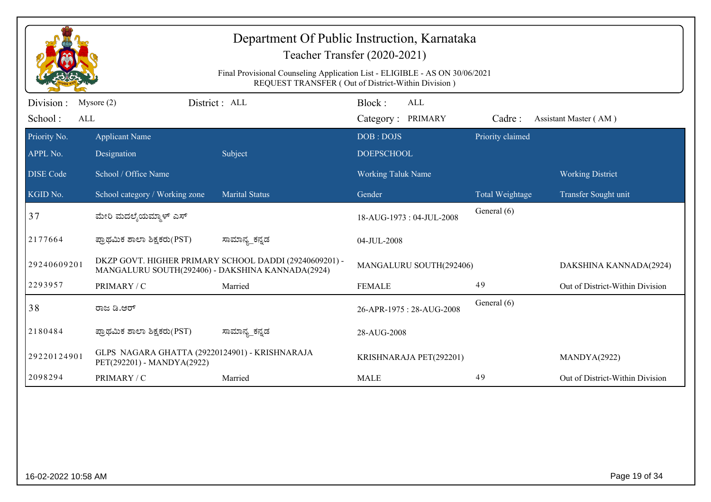|                              |                                                                              | Department Of Public Instruction, Karnataka                                 | Teacher Transfer (2020-2021)                       |                  |                                 |
|------------------------------|------------------------------------------------------------------------------|-----------------------------------------------------------------------------|----------------------------------------------------|------------------|---------------------------------|
|                              |                                                                              | Final Provisional Counseling Application List - ELIGIBLE - AS ON 30/06/2021 | REQUEST TRANSFER (Out of District-Within Division) |                  |                                 |
| Division :<br>School:<br>ALL | Mysore $(2)$                                                                 | District: ALL                                                               | Block:<br>ALL<br>Category: PRIMARY                 | Cadre:           | Assistant Master (AM)           |
| Priority No.                 | <b>Applicant Name</b>                                                        |                                                                             | DOB: DOJS                                          | Priority claimed |                                 |
| APPL No.                     | Designation                                                                  | Subject                                                                     | <b>DOEPSCHOOL</b>                                  |                  |                                 |
| <b>DISE Code</b>             | School / Office Name                                                         |                                                                             | <b>Working Taluk Name</b>                          |                  | <b>Working District</b>         |
| KGID No.                     | School category / Working zone                                               | <b>Marital Status</b>                                                       | Gender                                             | Total Weightage  | Transfer Sought unit            |
| 37                           | ಮೇರಿ ಮದಲ್ಶೆಯಮ್ಮಾಳ್ ಎಸ್                                                       |                                                                             | 18-AUG-1973: 04-JUL-2008                           | General (6)      |                                 |
| 2177664                      | ಪ್ರಾಥಮಿಕ ಶಾಲಾ ಶಿಕ್ಷಕರು(PST)                                                  | ಸಾಮಾನ್ಯ_ಕನ್ನಡ                                                               | 04-JUL-2008                                        |                  |                                 |
| 29240609201                  | MANGALURU SOUTH(292406) - DAKSHINA KANNADA(2924)                             | DKZP GOVT. HIGHER PRIMARY SCHOOL DADDI (29240609201) -                      | MANGALURU SOUTH(292406)                            |                  | DAKSHINA KANNADA(2924)          |
| 2293957                      | PRIMARY / C                                                                  | Married                                                                     | <b>FEMALE</b>                                      | 49               | Out of District-Within Division |
| 38                           | ರಾಜ ಡಿ.ಆರ್                                                                   |                                                                             | 26-APR-1975: 28-AUG-2008                           | General (6)      |                                 |
| 2180484                      | ಪ್ರಾಥಮಿಕ ಶಾಲಾ ಶಿಕ್ಷಕರು(PST)                                                  | ಸಾಮಾನ್ಯ_ಕನ್ನಡ                                                               | 28-AUG-2008                                        |                  |                                 |
| 29220124901                  | GLPS NAGARA GHATTA (29220124901) - KRISHNARAJA<br>PET(292201) - MANDYA(2922) |                                                                             | KRISHNARAJA PET(292201)                            |                  | MANDYA(2922)                    |
| 2098294                      | PRIMARY / C                                                                  | Married                                                                     | <b>MALE</b>                                        | 49               | Out of District-Within Division |
|                              |                                                                              |                                                                             |                                                    |                  |                                 |
|                              |                                                                              |                                                                             |                                                    |                  |                                 |
|                              |                                                                              |                                                                             |                                                    |                  |                                 |
|                              |                                                                              |                                                                             |                                                    |                  |                                 |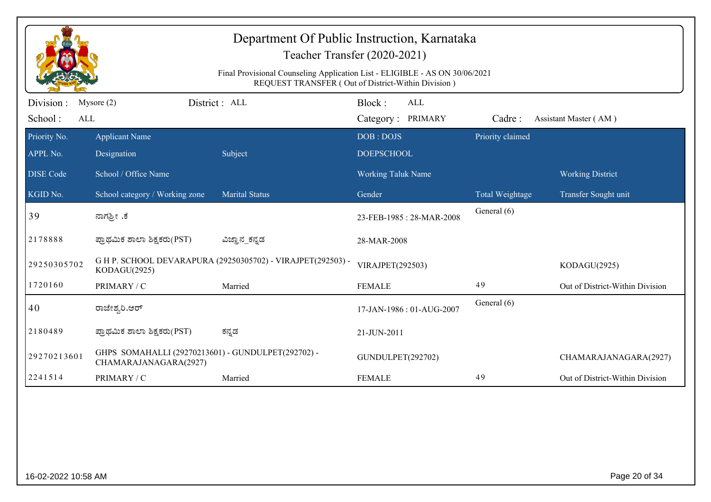| Department Of Public Instruction, Karnataka<br>Teacher Transfer (2020-2021)<br>Final Provisional Counseling Application List - ELIGIBLE - AS ON 30/06/2021<br>REQUEST TRANSFER (Out of District-Within Division) |                                                                             |                                                             |                                           |                                |                                 |  |  |
|------------------------------------------------------------------------------------------------------------------------------------------------------------------------------------------------------------------|-----------------------------------------------------------------------------|-------------------------------------------------------------|-------------------------------------------|--------------------------------|---------------------------------|--|--|
| Division :<br>School:<br>ALL                                                                                                                                                                                     | Mysore $(2)$                                                                | District : ALL                                              | Block:<br><b>ALL</b><br>Category: PRIMARY | Cadre:                         | Assistant Master (AM)           |  |  |
| Priority No.<br>APPL No.                                                                                                                                                                                         | <b>Applicant Name</b><br>Designation                                        | Subject                                                     | DOB: DOJS<br><b>DOEPSCHOOL</b>            | Priority claimed               |                                 |  |  |
| <b>DISE</b> Code                                                                                                                                                                                                 | School / Office Name                                                        |                                                             | <b>Working Taluk Name</b>                 |                                | <b>Working District</b>         |  |  |
| KGID No.<br>39                                                                                                                                                                                                   | School category / Working zone<br>ನಾಗಶ್ರೀ .ಕೆ                               | <b>Marital Status</b>                                       | Gender<br>23-FEB-1985: 28-MAR-2008        | Total Weightage<br>General (6) | Transfer Sought unit            |  |  |
| 2178888                                                                                                                                                                                                          | ಪ್ರಾಥಮಿಕ ಶಾಲಾ ಶಿಕ್ಷಕರು(PST)                                                 | ವಿಜ್ಞಾನ_ಕನ್ನಡ                                               | 28-MAR-2008                               |                                |                                 |  |  |
| 29250305702                                                                                                                                                                                                      | KODAGU(2925)                                                                | G H P. SCHOOL DEVARAPURA (29250305702) - VIRAJPET(292503) - | VIRAJPET(292503)                          |                                | KODAGU(2925)                    |  |  |
| 1720160                                                                                                                                                                                                          | PRIMARY / C                                                                 | Married                                                     | <b>FEMALE</b>                             | 49                             | Out of District-Within Division |  |  |
| 40                                                                                                                                                                                                               | ರಾಜೇಶ್ವರಿ.ಆರ್                                                               |                                                             | 17-JAN-1986: 01-AUG-2007                  | General (6)                    |                                 |  |  |
| 2180489                                                                                                                                                                                                          | ಪ್ರಾಥಮಿಕ ಶಾಲಾ ಶಿಕ್ಷಕರು(PST)                                                 | ಕನ್ನಡ                                                       | 21-JUN-2011                               |                                |                                 |  |  |
| 29270213601                                                                                                                                                                                                      | GHPS SOMAHALLI (29270213601) - GUNDULPET(292702) -<br>CHAMARAJANAGARA(2927) |                                                             | GUNDULPET(292702)                         |                                | CHAMARAJANAGARA(2927)           |  |  |
| 2241514                                                                                                                                                                                                          | PRIMARY / C                                                                 | Married                                                     | <b>FEMALE</b>                             | 49                             | Out of District-Within Division |  |  |
|                                                                                                                                                                                                                  |                                                                             |                                                             |                                           |                                |                                 |  |  |
| 16-02-2022 10:58 AM                                                                                                                                                                                              |                                                                             |                                                             |                                           |                                | Page 20 of 34                   |  |  |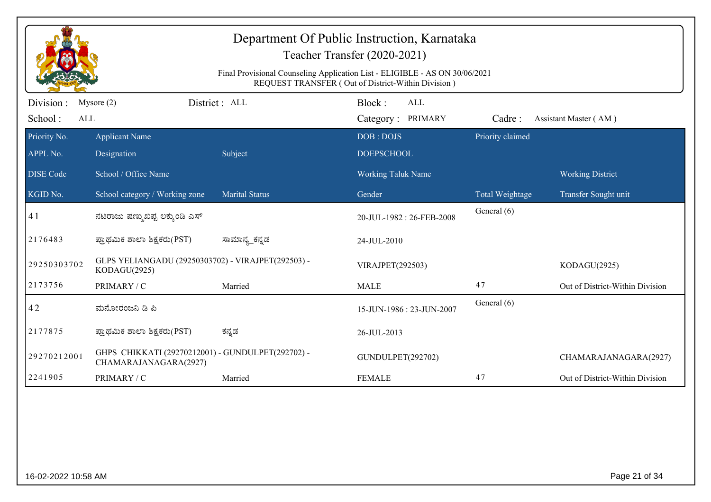|                          |                                                                            | Department Of Public Instruction, Karnataka<br>Final Provisional Counseling Application List - ELIGIBLE - AS ON 30/06/2021 | Teacher Transfer (2020-2021)<br>REQUEST TRANSFER (Out of District-Within Division) |                  |                                 |
|--------------------------|----------------------------------------------------------------------------|----------------------------------------------------------------------------------------------------------------------------|------------------------------------------------------------------------------------|------------------|---------------------------------|
| Division:                | District: ALL<br>Mysore $(2)$                                              |                                                                                                                            | Block:<br><b>ALL</b>                                                               |                  |                                 |
| School:<br><b>ALL</b>    |                                                                            |                                                                                                                            | Category: PRIMARY                                                                  | Cadre:           | Assistant Master (AM)           |
| Priority No.<br>APPL No. | <b>Applicant Name</b><br>Designation                                       | Subject                                                                                                                    | DOB: DOJS<br><b>DOEPSCHOOL</b>                                                     | Priority claimed |                                 |
| <b>DISE</b> Code         | School / Office Name                                                       |                                                                                                                            | Working Taluk Name                                                                 |                  | <b>Working District</b>         |
| KGID No.                 | School category / Working zone                                             | <b>Marital Status</b>                                                                                                      | Gender                                                                             | Total Weightage  | Transfer Sought unit            |
| 41                       | ನಟರಾಜು ಷಣ್ಮುಖಪ್ಪ ಲಕ್ಕುಂಡಿ ಎಸ್                                              |                                                                                                                            | 20-JUL-1982: 26-FEB-2008                                                           | General (6)      |                                 |
| 2176483                  | ಪ್ರಾಥಮಿಕ ಶಾಲಾ ಶಿಕ್ಷಕರು(PST)                                                | ಸಾಮಾನ್ಯ_ಕನ್ನಡ                                                                                                              | 24-JUL-2010                                                                        |                  |                                 |
| 29250303702              | GLPS YELIANGADU (29250303702) - VIRAJPET(292503) -<br>KODAGU(2925)         |                                                                                                                            | VIRAJPET(292503)                                                                   |                  | KODAGU(2925)                    |
| 2173756                  | PRIMARY / C                                                                | Married                                                                                                                    | <b>MALE</b>                                                                        | 47               | Out of District-Within Division |
| 42                       | ಮನೋರಂಜನಿ ಡಿ ಪಿ                                                             |                                                                                                                            | 15-JUN-1986: 23-JUN-2007                                                           | General (6)      |                                 |
| 2177875                  | ಪ್ರಾಥಮಿಕ ಶಾಲಾ ಶಿಕ್ಷಕರು(PST)                                                | ಕನ್ನಡ                                                                                                                      | 26-JUL-2013                                                                        |                  |                                 |
| 29270212001              | GHPS CHIKKATI (29270212001) - GUNDULPET(292702) -<br>CHAMARAJANAGARA(2927) |                                                                                                                            | GUNDULPET(292702)                                                                  |                  | CHAMARAJANAGARA(2927)           |
| 2241905                  | PRIMARY / C                                                                | Married                                                                                                                    | <b>FEMALE</b>                                                                      | 47               | Out of District-Within Division |
|                          |                                                                            |                                                                                                                            |                                                                                    |                  |                                 |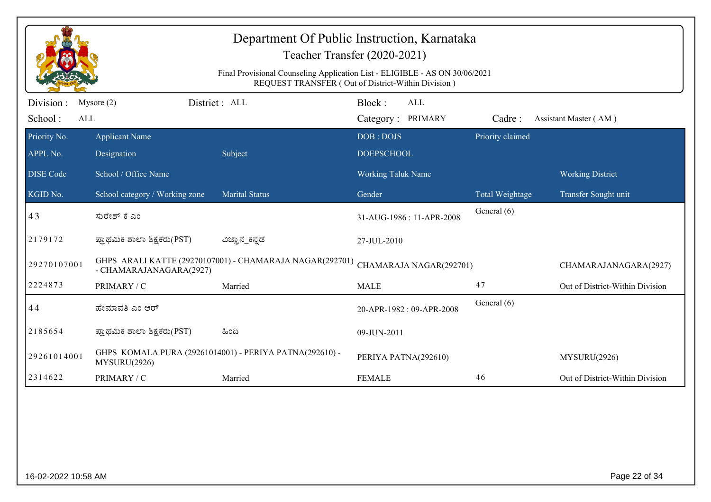| Department Of Public Instruction, Karnataka<br>Teacher Transfer (2020-2021)<br>Final Provisional Counseling Application List - ELIGIBLE - AS ON 30/06/2021<br>REQUEST TRANSFER (Out of District-Within Division) |                                |                                                          |                                           |                  |                                 |  |  |
|------------------------------------------------------------------------------------------------------------------------------------------------------------------------------------------------------------------|--------------------------------|----------------------------------------------------------|-------------------------------------------|------------------|---------------------------------|--|--|
| Division :<br>School:<br>ALL                                                                                                                                                                                     | Mysore $(2)$                   | District : ALL                                           | Block:<br><b>ALL</b><br>Category: PRIMARY | Cadre:           | Assistant Master (AM)           |  |  |
| Priority No.                                                                                                                                                                                                     | <b>Applicant Name</b>          |                                                          | DOB: DOJS                                 | Priority claimed |                                 |  |  |
| APPL No.                                                                                                                                                                                                         | Designation                    | Subject                                                  | <b>DOEPSCHOOL</b>                         |                  |                                 |  |  |
| <b>DISE Code</b>                                                                                                                                                                                                 | School / Office Name           |                                                          | Working Taluk Name                        |                  | <b>Working District</b>         |  |  |
| KGID No.                                                                                                                                                                                                         | School category / Working zone | <b>Marital Status</b>                                    | Gender                                    | Total Weightage  | Transfer Sought unit            |  |  |
| 43                                                                                                                                                                                                               | ಸುರೇಶ್ ಕೆ ಎಂ                   |                                                          | 31-AUG-1986: 11-APR-2008                  | General (6)      |                                 |  |  |
| 2179172                                                                                                                                                                                                          | ಪ್ರಾಥಮಿಕ ಶಾಲಾ ಶಿಕ್ಷಕರು(PST)    | ವಿಜ್ಞಾನ_ಕನ್ನಡ                                            | 27-JUL-2010                               |                  |                                 |  |  |
| 29270107001                                                                                                                                                                                                      | - CHAMARAJANAGARA(2927)        | GHPS ARALI KATTE (29270107001) - CHAMARAJA NAGAR(292701) | CHAMARAJA NAGAR(292701)                   |                  | CHAMARAJANAGARA(2927)           |  |  |
| 2224873                                                                                                                                                                                                          | PRIMARY / C                    | Married                                                  | <b>MALE</b>                               | 47               | Out of District-Within Division |  |  |
| 44                                                                                                                                                                                                               | ಹೇಮಾವತಿ ಎಂ ಆರ್                 |                                                          | 20-APR-1982: 09-APR-2008                  | General (6)      |                                 |  |  |
| 2185654                                                                                                                                                                                                          | ಪ್ರಾಥಮಿಕ ಶಾಲಾ ಶಿಕ್ಷಕರು(PST)    | ಹಿಂದಿ                                                    | 09-JUN-2011                               |                  |                                 |  |  |
| 29261014001                                                                                                                                                                                                      | MYSURU(2926)                   | GHPS KOMALA PURA (29261014001) - PERIYA PATNA(292610) -  | PERIYA PATNA(292610)                      |                  | MYSURU(2926)                    |  |  |
| 2314622                                                                                                                                                                                                          | PRIMARY / C                    | Married                                                  | <b>FEMALE</b>                             | 46               | Out of District-Within Division |  |  |
|                                                                                                                                                                                                                  |                                |                                                          |                                           |                  |                                 |  |  |
| 16-02-2022 10:58 AM                                                                                                                                                                                              |                                |                                                          |                                           |                  | Page 22 of 34                   |  |  |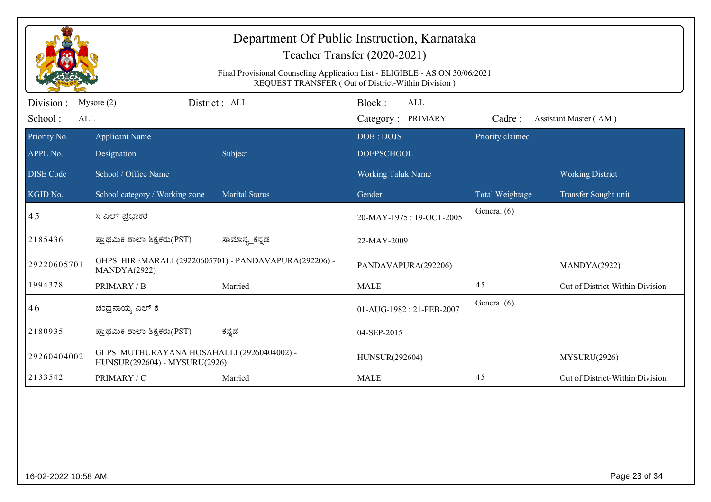|                  | Teacher Transfer (2020-2021)<br>Final Provisional Counseling Application List - ELIGIBLE - AS ON 30/06/2021 |                                                       |                                                    |                  |                                 |  |  |
|------------------|-------------------------------------------------------------------------------------------------------------|-------------------------------------------------------|----------------------------------------------------|------------------|---------------------------------|--|--|
|                  |                                                                                                             |                                                       | REQUEST TRANSFER (Out of District-Within Division) |                  |                                 |  |  |
| Division :       | Mysore $(2)$                                                                                                | District: ALL                                         | Block:<br>ALL                                      |                  |                                 |  |  |
| School:<br>ALL   |                                                                                                             |                                                       | Category: PRIMARY                                  | Cadre:           | Assistant Master (AM)           |  |  |
| Priority No.     | <b>Applicant Name</b>                                                                                       |                                                       | DOB: DOJS                                          | Priority claimed |                                 |  |  |
| APPL No.         | Designation                                                                                                 | Subject                                               | <b>DOEPSCHOOL</b>                                  |                  |                                 |  |  |
| <b>DISE Code</b> | School / Office Name                                                                                        |                                                       | <b>Working Taluk Name</b>                          |                  | <b>Working District</b>         |  |  |
| KGID No.         | School category / Working zone                                                                              | <b>Marital Status</b>                                 | Gender                                             | Total Weightage  | Transfer Sought unit            |  |  |
| 45               | ಸಿ ಎಲ್ ಪ್ರಭಾಕರ                                                                                              |                                                       | 20-MAY-1975: 19-OCT-2005                           | General (6)      |                                 |  |  |
| 2185436          | ಪ್ರಾಥಮಿಕ ಶಾಲಾ ಶಿಕ್ಷಕರು(PST)                                                                                 | ಸಾಮಾನ್ಯ_ಕನ್ನಡ                                         | 22-MAY-2009                                        |                  |                                 |  |  |
| 29220605701      | MANDYA(2922)                                                                                                | GHPS HIREMARALI (29220605701) - PANDAVAPURA(292206) - | PANDAVAPURA(292206)                                |                  | MANDYA(2922)                    |  |  |
| 1994378          | PRIMARY / B                                                                                                 | Married                                               | <b>MALE</b>                                        | 45               | Out of District-Within Division |  |  |
| 46               | ಚಂಧ್ರನಾಯ್ಕ ಎಲ್ ಕೆ                                                                                           |                                                       | 01-AUG-1982: 21-FEB-2007                           | General (6)      |                                 |  |  |
| 2180935          | ಪ್ರಾಥಮಿಕ ಶಾಲಾ ಶಿಕ್ಷಕರು(PST)                                                                                 | ಕನ್ನಡ                                                 | 04-SEP-2015                                        |                  |                                 |  |  |
| 29260404002      | GLPS MUTHURAYANA HOSAHALLI (29260404002) -<br>HUNSUR(292604) - MYSURU(2926)                                 |                                                       | HUNSUR(292604)                                     |                  | MYSURU(2926)                    |  |  |
| 2133542          | PRIMARY / C                                                                                                 | Married                                               | <b>MALE</b>                                        | 45               | Out of District-Within Division |  |  |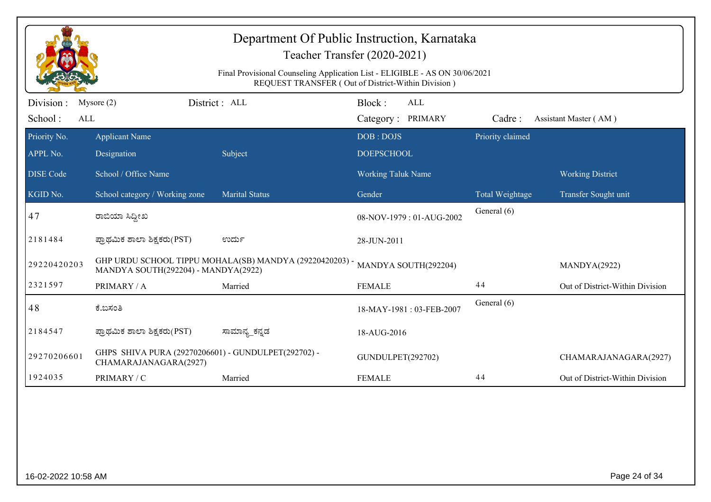| Department Of Public Instruction, Karnataka<br>Teacher Transfer (2020-2021)<br>Final Provisional Counseling Application List - ELIGIBLE - AS ON 30/06/2021<br>REQUEST TRANSFER (Out of District-Within Division) |                                                                              |                                                         |                                           |                  |                                 |  |  |
|------------------------------------------------------------------------------------------------------------------------------------------------------------------------------------------------------------------|------------------------------------------------------------------------------|---------------------------------------------------------|-------------------------------------------|------------------|---------------------------------|--|--|
| Division :<br>School:<br>ALL                                                                                                                                                                                     | Mysore $(2)$                                                                 | District: ALL                                           | Block:<br><b>ALL</b><br>Category: PRIMARY | Cadre:           | Assistant Master (AM)           |  |  |
| Priority No.<br>APPL No.                                                                                                                                                                                         | <b>Applicant Name</b><br>Designation                                         | Subject                                                 | DOB: DOJS<br><b>DOEPSCHOOL</b>            | Priority claimed |                                 |  |  |
| <b>DISE</b> Code                                                                                                                                                                                                 | School / Office Name                                                         |                                                         | <b>Working Taluk Name</b>                 |                  | <b>Working District</b>         |  |  |
| KGID No.                                                                                                                                                                                                         | School category / Working zone                                               | <b>Marital Status</b>                                   | Gender                                    | Total Weightage  | Transfer Sought unit            |  |  |
| 47                                                                                                                                                                                                               | ರಾಬಿಯಾ ಸಿದ್ದೀಖ                                                               |                                                         | 08-NOV-1979: 01-AUG-2002                  | General (6)      |                                 |  |  |
| 2181484                                                                                                                                                                                                          | ಪ್ರಾಥಮಿಕ ಶಾಲಾ ಶಿಕ್ಷಕರು(PST)                                                  | ಉರ್ದು                                                   | 28-JUN-2011                               |                  |                                 |  |  |
| 29220420203                                                                                                                                                                                                      | MANDYA SOUTH(292204) - MANDYA(2922)                                          | GHP URDU SCHOOL TIPPU MOHALA(SB) MANDYA (29220420203) - | MANDYA SOUTH(292204)                      |                  | MANDYA(2922)                    |  |  |
| 2321597                                                                                                                                                                                                          | PRIMARY / A                                                                  | Married                                                 | <b>FEMALE</b>                             | 44               | Out of District-Within Division |  |  |
| 48                                                                                                                                                                                                               | ಕೆ.ಬಸಂತಿ                                                                     |                                                         | 18-MAY-1981:03-FEB-2007                   | General (6)      |                                 |  |  |
| 2184547                                                                                                                                                                                                          | ಪ್ರಾಥಮಿಕ ಶಾಲಾ ಶಿಕ್ಷಕರು(PST)                                                  | ಸಾಮಾನ್ಯ_ಕನ್ನಡ                                           | 18-AUG-2016                               |                  |                                 |  |  |
| 29270206601                                                                                                                                                                                                      | GHPS SHIVA PURA (29270206601) - GUNDULPET(292702) -<br>CHAMARAJANAGARA(2927) |                                                         | GUNDULPET(292702)                         |                  | CHAMARAJANAGARA(2927)           |  |  |
| 1924035                                                                                                                                                                                                          | PRIMARY / C                                                                  | Married                                                 | <b>FEMALE</b>                             | 44               | Out of District-Within Division |  |  |
|                                                                                                                                                                                                                  |                                                                              |                                                         |                                           |                  |                                 |  |  |
| 16-02-2022 10:58 AM                                                                                                                                                                                              |                                                                              |                                                         |                                           |                  | Page 24 of 34                   |  |  |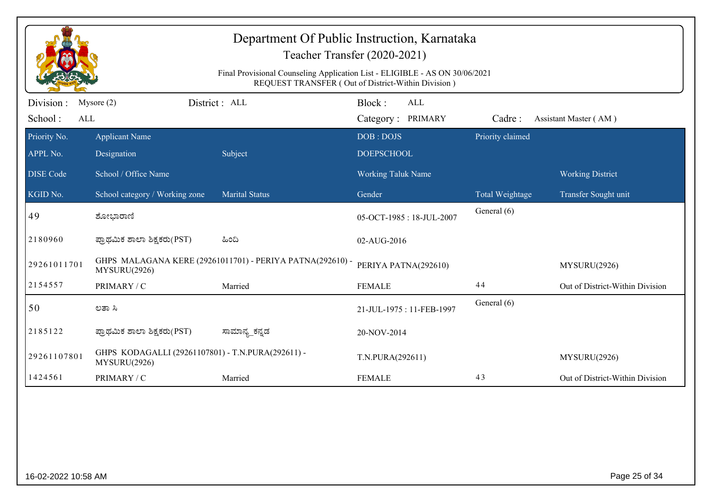|                              | Department Of Public Instruction, Karnataka<br>Teacher Transfer (2020-2021)<br>Final Provisional Counseling Application List - ELIGIBLE - AS ON 30/06/2021<br>REQUEST TRANSFER (Out of District-Within Division) |                                                           |                                           |                  |                                 |  |
|------------------------------|------------------------------------------------------------------------------------------------------------------------------------------------------------------------------------------------------------------|-----------------------------------------------------------|-------------------------------------------|------------------|---------------------------------|--|
| Division :<br>School:<br>ALL | Mysore $(2)$                                                                                                                                                                                                     | District : ALL                                            | Block:<br><b>ALL</b><br>Category: PRIMARY | Cadre:           | Assistant Master (AM)           |  |
| Priority No.<br>APPL No.     | <b>Applicant Name</b><br>Designation                                                                                                                                                                             | Subject                                                   | DOB: DOJS<br><b>DOEPSCHOOL</b>            | Priority claimed |                                 |  |
| <b>DISE Code</b>             | School / Office Name                                                                                                                                                                                             |                                                           | <b>Working Taluk Name</b>                 |                  | <b>Working District</b>         |  |
| KGID No.                     | School category / Working zone                                                                                                                                                                                   | <b>Marital Status</b>                                     | Gender                                    | Total Weightage  | Transfer Sought unit            |  |
| 49                           | ಶೋಭಾರಾಣಿ                                                                                                                                                                                                         |                                                           | 05-OCT-1985: 18-JUL-2007                  | General (6)      |                                 |  |
| 2180960                      | ಪ್ರಾಥಮಿಕ ಶಾಲಾ ಶಿಕ್ಷಕರು(PST)                                                                                                                                                                                      | ಹಿಂದಿ                                                     | 02-AUG-2016                               |                  |                                 |  |
| 29261011701                  | MYSURU(2926)                                                                                                                                                                                                     | GHPS MALAGANA KERE (29261011701) - PERIYA PATNA(292610) - | PERIYA PATNA(292610)                      |                  | MYSURU(2926)                    |  |
| 2154557                      | PRIMARY / C                                                                                                                                                                                                      | Married                                                   | <b>FEMALE</b>                             | 44               | Out of District-Within Division |  |
| 50                           | ಲತಾ ಸಿ                                                                                                                                                                                                           |                                                           | 21-JUL-1975: 11-FEB-1997                  | General (6)      |                                 |  |
| 2185122                      | ಪ್ರಾಥಮಿಕ ಶಾಲಾ ಶಿಕ್ಷಕರು(PST)                                                                                                                                                                                      | ಸಾಮಾನ್ಯ_ಕನ್ನಡ                                             | 20-NOV-2014                               |                  |                                 |  |
| 29261107801                  | GHPS KODAGALLI (29261107801) - T.N.PURA(292611) -<br>MYSURU(2926)                                                                                                                                                |                                                           | T.N.PURA(292611)                          |                  | MYSURU(2926)                    |  |
| 1424561                      | PRIMARY / C                                                                                                                                                                                                      | Married                                                   | <b>FEMALE</b>                             | 43               | Out of District-Within Division |  |
|                              |                                                                                                                                                                                                                  |                                                           |                                           |                  |                                 |  |
| 16-02-2022 10:58 AM          |                                                                                                                                                                                                                  |                                                           |                                           |                  | Page 25 of 34                   |  |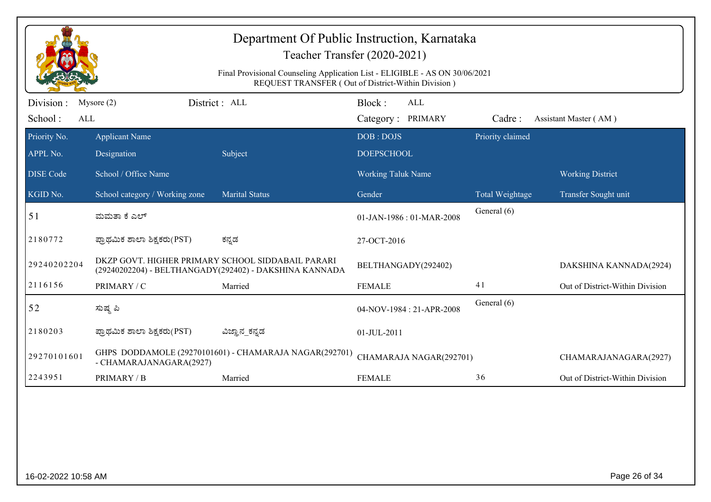| Department Of Public Instruction, Karnataka<br>Teacher Transfer (2020-2021)<br>Final Provisional Counseling Application List - ELIGIBLE - AS ON 30/06/2021 |                                |                                                                                                             |                                                    |                  |                                 |
|------------------------------------------------------------------------------------------------------------------------------------------------------------|--------------------------------|-------------------------------------------------------------------------------------------------------------|----------------------------------------------------|------------------|---------------------------------|
|                                                                                                                                                            |                                |                                                                                                             | REQUEST TRANSFER (Out of District-Within Division) |                  |                                 |
| Division :<br>School:<br>ALL                                                                                                                               | Mysore $(2)$                   | District : ALL                                                                                              | Block:<br>ALL<br>Category: PRIMARY                 | Cadre:           | Assistant Master (AM)           |
| Priority No.                                                                                                                                               | <b>Applicant Name</b>          |                                                                                                             | DOB: DOJS                                          | Priority claimed |                                 |
| APPL No.                                                                                                                                                   | Designation                    | Subject                                                                                                     | <b>DOEPSCHOOL</b>                                  |                  |                                 |
| <b>DISE</b> Code                                                                                                                                           | School / Office Name           |                                                                                                             | Working Taluk Name                                 |                  | <b>Working District</b>         |
| KGID No.                                                                                                                                                   | School category / Working zone | <b>Marital Status</b>                                                                                       | Gender                                             | Total Weightage  | Transfer Sought unit            |
| 51                                                                                                                                                         | ಮಮತಾ ಕೆ ಎಲ್                    |                                                                                                             | 01-JAN-1986: 01-MAR-2008                           | General (6)      |                                 |
| 2180772                                                                                                                                                    | ಪ್ರಾಥಮಿಕ ಶಾಲಾ ಶಿಕ್ಷಕರು(PST)    | ಕನ್ನಡ                                                                                                       | 27-OCT-2016                                        |                  |                                 |
| 29240202204                                                                                                                                                |                                | DKZP GOVT. HIGHER PRIMARY SCHOOL SIDDABAIL PARARI<br>(29240202204) - BELTHANGADY(292402) - DAKSHINA KANNADA | BELTHANGADY(292402)                                |                  | DAKSHINA KANNADA(2924)          |
| 2116156                                                                                                                                                    | PRIMARY / C                    | Married                                                                                                     | <b>FEMALE</b>                                      | 41               | Out of District-Within Division |
| 52                                                                                                                                                         | ಸುಷ್ಠ ಪಿ                       |                                                                                                             | 04-NOV-1984: 21-APR-2008                           | General (6)      |                                 |
| 2180203                                                                                                                                                    | ಪ್ರಾಥಮಿಕ ಶಾಲಾ ಶಿಕ್ಷಕರು(PST)    | ವಿಜ್ಞಾನ_ಕನ್ನಡ                                                                                               | 01-JUL-2011                                        |                  |                                 |
| 29270101601                                                                                                                                                | - CHAMARAJANAGARA(2927)        | GHPS DODDAMOLE (29270101601) - CHAMARAJA NAGAR(292701)                                                      | CHAMARAJA NAGAR(292701)                            |                  | CHAMARAJANAGARA(2927)           |
| 2243951                                                                                                                                                    | PRIMARY / B                    | Married                                                                                                     | <b>FEMALE</b>                                      | 36               | Out of District-Within Division |
|                                                                                                                                                            |                                |                                                                                                             |                                                    |                  |                                 |
| 16-02-2022 10:58 AM                                                                                                                                        |                                |                                                                                                             |                                                    |                  | Page 26 of 34                   |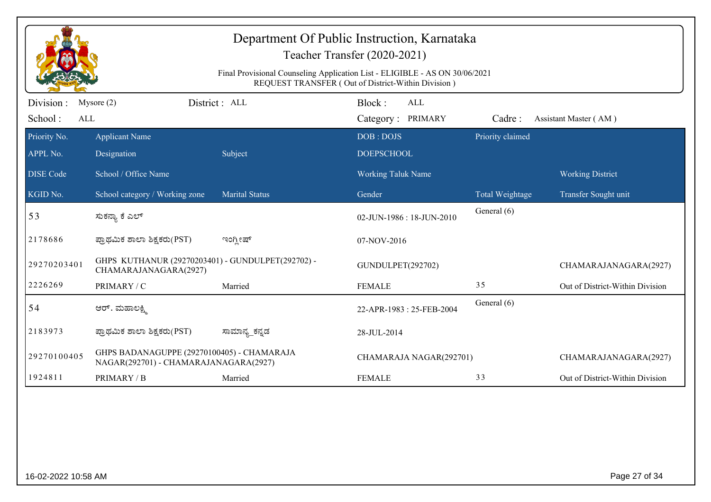|                  |                                                                                     |                       | Department Of Public Instruction, Karnataka<br>Teacher Transfer (2020-2021)<br>Final Provisional Counseling Application List - ELIGIBLE - AS ON 30/06/2021<br>REQUEST TRANSFER (Out of District-Within Division) |                  |                                 |
|------------------|-------------------------------------------------------------------------------------|-----------------------|------------------------------------------------------------------------------------------------------------------------------------------------------------------------------------------------------------------|------------------|---------------------------------|
| Division:        | Mysore $(2)$                                                                        | District: ALL         | Block:<br><b>ALL</b>                                                                                                                                                                                             |                  |                                 |
| School:<br>ALL   |                                                                                     |                       | Category: PRIMARY                                                                                                                                                                                                | Cadre:           | Assistant Master (AM)           |
| Priority No.     | <b>Applicant Name</b>                                                               |                       | DOB: DOJS                                                                                                                                                                                                        | Priority claimed |                                 |
| APPL No.         | Designation                                                                         | Subject               | <b>DOEPSCHOOL</b>                                                                                                                                                                                                |                  |                                 |
| <b>DISE Code</b> | School / Office Name                                                                |                       | <b>Working Taluk Name</b>                                                                                                                                                                                        |                  | <b>Working District</b>         |
| KGID No.         | School category / Working zone                                                      | <b>Marital Status</b> | Gender                                                                                                                                                                                                           | Total Weightage  | Transfer Sought unit            |
| 53               | ಸುಕನ್ಯಾ ಕೆ ಎಲ್                                                                      |                       | 02-JUN-1986: 18-JUN-2010                                                                                                                                                                                         | General (6)      |                                 |
| 2178686          | ಪ್ರಾಥಮಿಕ ಶಾಲಾ ಶಿಕ್ಷಕರು(PST)                                                         | ಇಂಗ್ಲೀಷ್              | 07-NOV-2016                                                                                                                                                                                                      |                  |                                 |
| 29270203401      | GHPS KUTHANUR (29270203401) - GUNDULPET(292702) -<br>CHAMARAJANAGARA(2927)          |                       | GUNDULPET(292702)                                                                                                                                                                                                |                  | CHAMARAJANAGARA(2927)           |
| 2226269          | PRIMARY / C                                                                         | Married               | <b>FEMALE</b>                                                                                                                                                                                                    | 35               | Out of District-Within Division |
| 54               | ಆರ್. ಮಹಾಲಕ್ಷ್ಮಿ                                                                     |                       | 22-APR-1983: 25-FEB-2004                                                                                                                                                                                         | General (6)      |                                 |
| 2183973          | ಪ್ರಾಥಮಿಕ ಶಾಲಾ ಶಿಕ್ಷಕರು(PST)                                                         | ಸಾಮಾನ್ಯ_ಕನ್ನಡ         | 28-JUL-2014                                                                                                                                                                                                      |                  |                                 |
| 29270100405      | GHPS BADANAGUPPE (29270100405) - CHAMARAJA<br>NAGAR(292701) - CHAMARAJANAGARA(2927) |                       | CHAMARAJA NAGAR(292701)                                                                                                                                                                                          |                  | CHAMARAJANAGARA(2927)           |
| 1924811          | PRIMARY / B                                                                         | Married               | <b>FEMALE</b>                                                                                                                                                                                                    | 33               | Out of District-Within Division |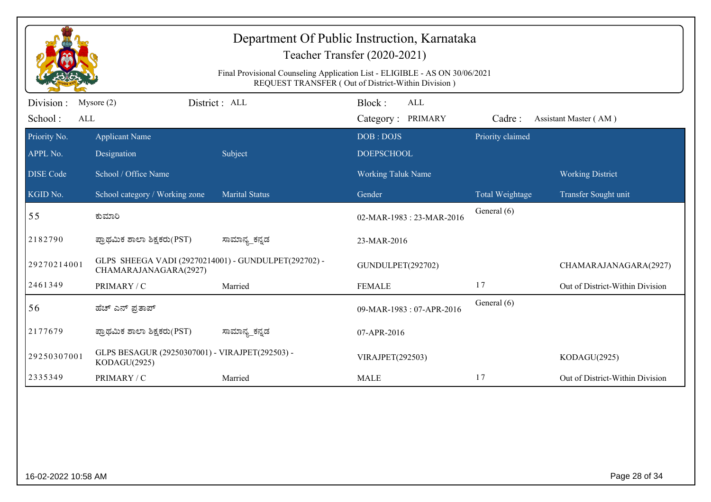|                             | Department Of Public Instruction, Karnataka<br>Teacher Transfer (2020-2021)<br>Final Provisional Counseling Application List - ELIGIBLE - AS ON 30/06/2021<br>REQUEST TRANSFER (Out of District-Within Division) |                       |                                           |                  |                                 |  |
|-----------------------------|------------------------------------------------------------------------------------------------------------------------------------------------------------------------------------------------------------------|-----------------------|-------------------------------------------|------------------|---------------------------------|--|
| Division:<br>School:<br>ALL | Mysore $(2)$                                                                                                                                                                                                     | District: ALL         | Block:<br><b>ALL</b><br>Category: PRIMARY | Cadre:           | Assistant Master (AM)           |  |
| Priority No.<br>APPL No.    | <b>Applicant Name</b><br>Designation                                                                                                                                                                             | Subject               | DOB: DOJS<br><b>DOEPSCHOOL</b>            | Priority claimed |                                 |  |
| <b>DISE</b> Code            | School / Office Name                                                                                                                                                                                             |                       | <b>Working Taluk Name</b>                 |                  | <b>Working District</b>         |  |
| KGID No.                    | School category / Working zone                                                                                                                                                                                   | <b>Marital Status</b> | Gender                                    | Total Weightage  | Transfer Sought unit            |  |
| 55                          | ಕುಮಾರಿ                                                                                                                                                                                                           |                       | 02-MAR-1983: 23-MAR-2016                  | General (6)      |                                 |  |
| 2182790                     | ಪ್ರಾಥಮಿಕ ಶಾಲಾ ಶಿಕ್ಷಕರು(PST)                                                                                                                                                                                      | ಸಾಮಾನ್ಯ_ಕನ್ನಡ         | 23-MAR-2016                               |                  |                                 |  |
| 29270214001                 | GLPS SHEEGA VADI (29270214001) - GUNDULPET(292702) -<br>CHAMARAJANAGARA(2927)                                                                                                                                    |                       | GUNDULPET(292702)                         |                  | CHAMARAJANAGARA(2927)           |  |
| 2461349                     | PRIMARY / C                                                                                                                                                                                                      | Married               | <b>FEMALE</b>                             | 17               | Out of District-Within Division |  |
| 56                          | ಹೆಚ್ ಎನ್ ಪ್ರತಾಪ್                                                                                                                                                                                                 |                       | 09-MAR-1983: 07-APR-2016                  | General (6)      |                                 |  |
| 2177679                     | ಪ್ರಾಥಮಿಕ ಶಾಲಾ ಶಿಕ್ಷಕರು(PST)                                                                                                                                                                                      | ಸಾಮಾನ್ಯ_ಕನ್ನಡ         | 07-APR-2016                               |                  |                                 |  |
| 29250307001                 | GLPS BESAGUR (29250307001) - VIRAJPET(292503) -<br>KODAGU(2925)                                                                                                                                                  |                       | <b>VIRAJPET(292503)</b>                   |                  | KODAGU(2925)                    |  |
| 2335349                     | PRIMARY / C                                                                                                                                                                                                      | Married               | <b>MALE</b>                               | 17               | Out of District-Within Division |  |
|                             |                                                                                                                                                                                                                  |                       |                                           |                  |                                 |  |
| 16-02-2022 10:58 AM         |                                                                                                                                                                                                                  |                       |                                           |                  | Page 28 of 34                   |  |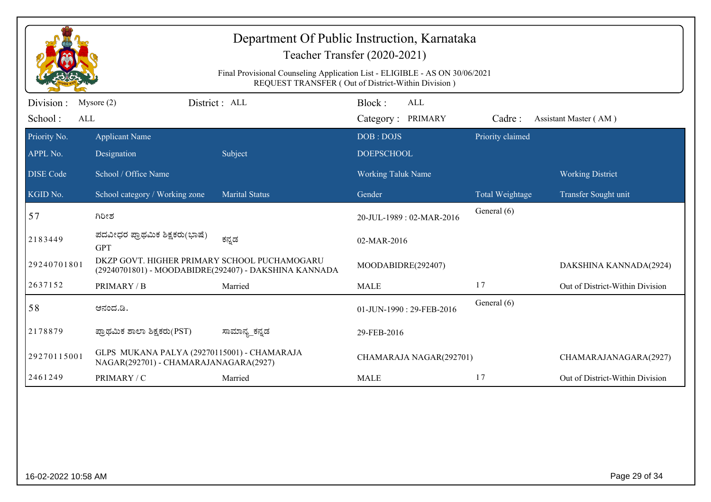|                  | Department Of Public Instruction, Karnataka<br>Teacher Transfer (2020-2021)          |                                                                             |                                                    |                  |                                 |  |  |
|------------------|--------------------------------------------------------------------------------------|-----------------------------------------------------------------------------|----------------------------------------------------|------------------|---------------------------------|--|--|
|                  |                                                                                      | Final Provisional Counseling Application List - ELIGIBLE - AS ON 30/06/2021 | REQUEST TRANSFER (Out of District-Within Division) |                  |                                 |  |  |
| Division:        | Mysore $(2)$                                                                         | District: ALL                                                               | Block:<br>ALL                                      |                  |                                 |  |  |
| School:<br>ALL   |                                                                                      |                                                                             | Category: PRIMARY                                  | Cadre:           | Assistant Master (AM)           |  |  |
| Priority No.     | <b>Applicant Name</b>                                                                |                                                                             | DOB: DOJS                                          | Priority claimed |                                 |  |  |
| APPL No.         | Designation                                                                          | Subject                                                                     | <b>DOEPSCHOOL</b>                                  |                  |                                 |  |  |
| <b>DISE Code</b> | School / Office Name                                                                 |                                                                             | Working Taluk Name                                 |                  | <b>Working District</b>         |  |  |
| KGID No.         | School category / Working zone                                                       | <b>Marital Status</b>                                                       | Gender                                             | Total Weightage  | Transfer Sought unit            |  |  |
| 57               | ಗಿರೀಶ                                                                                |                                                                             | 20-JUL-1989: 02-MAR-2016                           | General (6)      |                                 |  |  |
| 2183449          | ಪದವೀಧರ ಪ್ರಾಥಮಿಕ ಶಿಕ್ಷಕರು(ಭಾಷೆ)<br><b>GPT</b>                                         | ಕನ್ನಡ                                                                       | 02-MAR-2016                                        |                  |                                 |  |  |
| 29240701801      | DKZP GOVT. HIGHER PRIMARY SCHOOL PUCHAMOGARU                                         | (29240701801) - MOODABIDRE(292407) - DAKSHINA KANNADA                       | MOODABIDRE(292407)                                 |                  | DAKSHINA KANNADA(2924)          |  |  |
| 2637152          | PRIMARY / B                                                                          | Married                                                                     | <b>MALE</b>                                        | 17               | Out of District-Within Division |  |  |
| 58               | ಆನಂದ.ಡಿ.                                                                             |                                                                             | 01-JUN-1990: 29-FEB-2016                           | General (6)      |                                 |  |  |
| 2178879          | ಪ್ರಾಥಮಿಕ ಶಾಲಾ ಶಿಕ್ಷಕರು(PST)                                                          | ಸಾಮಾನ್ಯ_ಕನ್ನಡ                                                               | 29-FEB-2016                                        |                  |                                 |  |  |
| 29270115001      | GLPS MUKANA PALYA (29270115001) - CHAMARAJA<br>NAGAR(292701) - CHAMARAJANAGARA(2927) |                                                                             | CHAMARAJA NAGAR(292701)                            |                  | CHAMARAJANAGARA(2927)           |  |  |
| 2461249          | PRIMARY / C                                                                          | Married                                                                     | <b>MALE</b>                                        | 17               | Out of District-Within Division |  |  |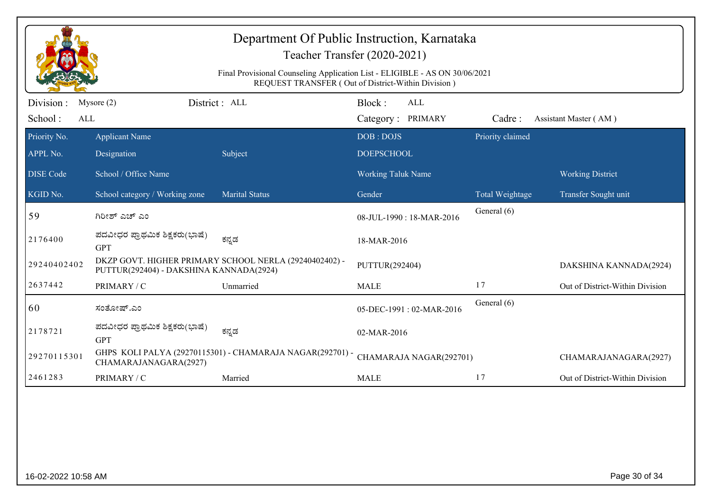|                              |                                              | Final Provisional Counseling Application List - ELIGIBLE - AS ON 30/06/2021 | Teacher Transfer (2020-2021)<br>REQUEST TRANSFER (Out of District-Within Division) |                  |                                 |
|------------------------------|----------------------------------------------|-----------------------------------------------------------------------------|------------------------------------------------------------------------------------|------------------|---------------------------------|
| Division :<br>School:<br>ALL | Mysore $(2)$                                 | District : ALL                                                              | Block:<br><b>ALL</b><br>Category: PRIMARY                                          | Cadre:           | Assistant Master (AM)           |
| Priority No.                 | <b>Applicant Name</b>                        |                                                                             | DOB: DOJS                                                                          | Priority claimed |                                 |
| APPL No.                     | Designation                                  | Subject                                                                     | <b>DOEPSCHOOL</b>                                                                  |                  |                                 |
| <b>DISE</b> Code             | School / Office Name                         |                                                                             | <b>Working Taluk Name</b>                                                          |                  | <b>Working District</b>         |
| KGID No.                     | School category / Working zone               | <b>Marital Status</b>                                                       | Gender                                                                             | Total Weightage  | Transfer Sought unit            |
| 59                           | ಗಿರೀಶ್ ಎಚ್ ಎಂ                                |                                                                             | 08-JUL-1990: 18-MAR-2016                                                           | General (6)      |                                 |
| 2176400                      | ಪದವೀಧರ ಪ್ರಾಥಮಿಕ ಶಿಕ್ಷಕರು(ಭಾಷೆ)<br><b>GPT</b> | ಕನ್ನಡ                                                                       | 18-MAR-2016                                                                        |                  |                                 |
| 29240402402                  | PUTTUR(292404) - DAKSHINA KANNADA(2924)      | DKZP GOVT. HIGHER PRIMARY SCHOOL NERLA (29240402402) -                      | PUTTUR(292404)                                                                     |                  | DAKSHINA KANNADA(2924)          |
| 2637442                      | PRIMARY / C                                  | Unmarried                                                                   | <b>MALE</b>                                                                        | 17               | Out of District-Within Division |
| 60                           | ಸಂತೋಷ್.ಎಂ                                    |                                                                             | 05-DEC-1991: 02-MAR-2016                                                           | General (6)      |                                 |
| 2178721                      | ಪದವೀಧರ ಪ್ರಾಥಮಿಕ ಶಿಕ್ಷಕರು(ಭಾಷೆ)<br><b>GPT</b> | ಕನ್ನಡ                                                                       | 02-MAR-2016                                                                        |                  |                                 |
| 29270115301                  | CHAMARAJANAGARA(2927)                        | GHPS KOLI PALYA (29270115301) - CHAMARAJA NAGAR(292701) -                   | CHAMARAJA NAGAR(292701)                                                            |                  | CHAMARAJANAGARA(2927)           |
| 2461283                      | PRIMARY / C                                  | Married                                                                     | <b>MALE</b>                                                                        | 17               | Out of District-Within Division |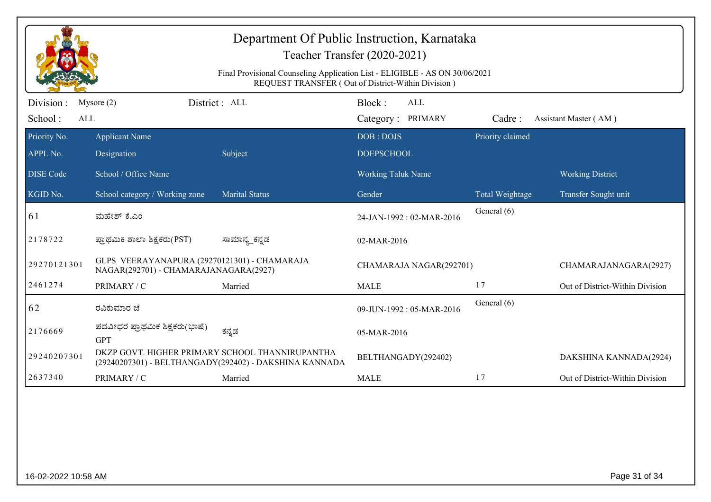|                              | Department Of Public Instruction, Karnataka<br>Teacher Transfer (2020-2021)<br>Final Provisional Counseling Application List - ELIGIBLE - AS ON 30/06/2021<br>REQUEST TRANSFER (Out of District-Within Division) |                                                        |                                           |                  |                                 |  |
|------------------------------|------------------------------------------------------------------------------------------------------------------------------------------------------------------------------------------------------------------|--------------------------------------------------------|-------------------------------------------|------------------|---------------------------------|--|
| Division :<br>School:<br>ALL | Mysore $(2)$                                                                                                                                                                                                     | District: ALL                                          | Block:<br><b>ALL</b><br>Category: PRIMARY | Cadre:           | Assistant Master (AM)           |  |
| Priority No.<br>APPL No.     | <b>Applicant Name</b><br>Designation                                                                                                                                                                             | Subject                                                | DOB: DOJS<br><b>DOEPSCHOOL</b>            | Priority claimed |                                 |  |
| <b>DISE</b> Code             | School / Office Name                                                                                                                                                                                             |                                                        | <b>Working Taluk Name</b>                 |                  | <b>Working District</b>         |  |
| KGID No.                     | School category / Working zone                                                                                                                                                                                   | <b>Marital Status</b>                                  | Gender                                    | Total Weightage  | Transfer Sought unit            |  |
| 61                           | ಮಹೇಶ್ ಕೆ.ಎಂ                                                                                                                                                                                                      |                                                        | 24-JAN-1992: 02-MAR-2016                  | General (6)      |                                 |  |
| 2178722                      | ಪ್ರಾಥಮಿಕ ಶಾಲಾ ಶಿಕ್ಷಕರು(PST)                                                                                                                                                                                      | ಸಾಮಾನ್ಯ_ಕನ್ನಡ                                          | 02-MAR-2016                               |                  |                                 |  |
| 29270121301                  | GLPS VEERAYANAPURA (29270121301) - CHAMARAJA<br>NAGAR(292701) - CHAMARAJANAGARA(2927)                                                                                                                            |                                                        | CHAMARAJA NAGAR(292701)                   |                  | CHAMARAJANAGARA(2927)           |  |
| 2461274                      | PRIMARY / C                                                                                                                                                                                                      | Married                                                | <b>MALE</b>                               | 17               | Out of District-Within Division |  |
| 62                           | ರವಿಕುಮಾರ ಜೆ                                                                                                                                                                                                      |                                                        | 09-JUN-1992: 05-MAR-2016                  | General (6)      |                                 |  |
| 2176669                      | ಪದವೀಧರ ಪ್ರಾಥಮಿಕ ಶಿಕ್ಷಕರು(ಭಾಷೆ)<br><b>GPT</b>                                                                                                                                                                     | ಕನ್ನಡ                                                  | 05-MAR-2016                               |                  |                                 |  |
| 29240207301                  | DKZP GOVT. HIGHER PRIMARY SCHOOL THANNIRUPANTHA                                                                                                                                                                  | (29240207301) - BELTHANGADY(292402) - DAKSHINA KANNADA | BELTHANGADY(292402)                       |                  | DAKSHINA KANNADA(2924)          |  |
| 2637340                      | PRIMARY / C                                                                                                                                                                                                      | Married                                                | <b>MALE</b>                               | 17               | Out of District-Within Division |  |
|                              |                                                                                                                                                                                                                  |                                                        |                                           |                  |                                 |  |
| 16-02-2022 10:58 AM          |                                                                                                                                                                                                                  |                                                        |                                           |                  | Page 31 of 34                   |  |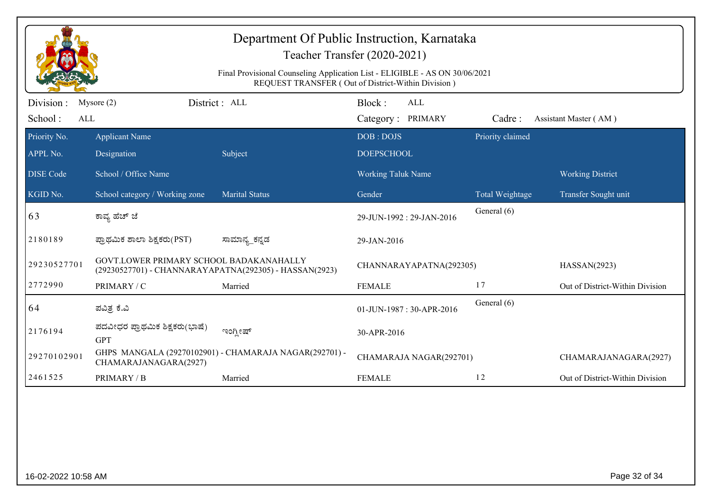| Department Of Public Instruction, Karnataka<br>Teacher Transfer (2020-2021) |                                                                                                   |                                                                             |                                                    |                  |                                                 |
|-----------------------------------------------------------------------------|---------------------------------------------------------------------------------------------------|-----------------------------------------------------------------------------|----------------------------------------------------|------------------|-------------------------------------------------|
|                                                                             |                                                                                                   | Final Provisional Counseling Application List - ELIGIBLE - AS ON 30/06/2021 | REQUEST TRANSFER (Out of District-Within Division) |                  |                                                 |
| Division :<br>School:                                                       | District: ALL<br>Mysore $(2)$<br>ALL                                                              |                                                                             | Block:<br><b>ALL</b><br>Category: PRIMARY          | Cadre:           | Assistant Master (AM)                           |
| Priority No.<br>APPL No.                                                    | <b>Applicant Name</b><br>Designation                                                              | Subject                                                                     | DOB: DOJS<br><b>DOEPSCHOOL</b>                     | Priority claimed |                                                 |
| <b>DISE Code</b><br>KGID No.                                                | School / Office Name<br>School category / Working zone                                            | <b>Marital Status</b>                                                       | <b>Working Taluk Name</b><br>Gender                | Total Weightage  | <b>Working District</b><br>Transfer Sought unit |
| 63                                                                          | ಕಾವ್ಯ ಹೆಚ್ ಜೆ                                                                                     |                                                                             | 29-JUN-1992: 29-JAN-2016                           | General (6)      |                                                 |
| 2180189                                                                     | ಪ್ರಾಥಮಿಕ ಶಾಲಾ ಶಿಕ್ಷಕರು(PST)                                                                       | ಸಾಮಾನ್ಯ_ಕನ್ನಡ                                                               | 29-JAN-2016                                        |                  |                                                 |
| 29230527701                                                                 | GOVT.LOWER PRIMARY SCHOOL BADAKANAHALLY<br>(29230527701) - CHANNARAYAPATNA(292305) - HASSAN(2923) |                                                                             | CHANNARAYAPATNA(292305)                            |                  | HASSAN(2923)                                    |
| 2772990                                                                     | PRIMARY / C                                                                                       | Married                                                                     | <b>FEMALE</b>                                      | 17               | Out of District-Within Division                 |
| 64                                                                          | ಪವಿತ್ರ ಕೆ.ವಿ                                                                                      |                                                                             | 01-JUN-1987: 30-APR-2016                           | General (6)      |                                                 |
| 2176194                                                                     | ಪದವೀಧರ ಪ್ರಾಥಮಿಕ ಶಿಕ್ಷಕರು(ಭಾಷೆ)<br><b>GPT</b>                                                      | ಇಂಗ್ಲೀಷ್                                                                    | 30-APR-2016                                        |                  |                                                 |
| 29270102901                                                                 | CHAMARAJANAGARA(2927)                                                                             | GHPS MANGALA (29270102901) - CHAMARAJA NAGAR(292701) -                      | CHAMARAJA NAGAR(292701)                            |                  | CHAMARAJANAGARA(2927)                           |
| 2461525                                                                     | PRIMARY / B                                                                                       | Married                                                                     | <b>FEMALE</b>                                      | 12               | Out of District-Within Division                 |
|                                                                             |                                                                                                   |                                                                             |                                                    |                  |                                                 |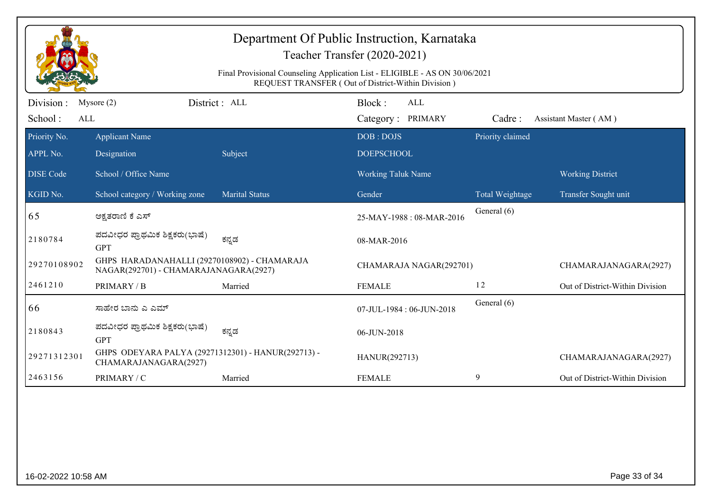|                  |                                                                                       |                       | Department Of Public Instruction, Karnataka<br>Teacher Transfer (2020-2021)<br>Final Provisional Counseling Application List - ELIGIBLE - AS ON 30/06/2021<br>REQUEST TRANSFER (Out of District-Within Division) |                  |                                 |
|------------------|---------------------------------------------------------------------------------------|-----------------------|------------------------------------------------------------------------------------------------------------------------------------------------------------------------------------------------------------------|------------------|---------------------------------|
| Division :       | Mysore $(2)$                                                                          | District: ALL         | Block:<br><b>ALL</b>                                                                                                                                                                                             |                  |                                 |
| School:<br>ALL   |                                                                                       |                       | Category: PRIMARY                                                                                                                                                                                                | Cadre:           | Assistant Master (AM)           |
| Priority No.     | <b>Applicant Name</b>                                                                 |                       | DOB: DOJS                                                                                                                                                                                                        | Priority claimed |                                 |
| APPL No.         | Designation                                                                           | Subject               | <b>DOEPSCHOOL</b>                                                                                                                                                                                                |                  |                                 |
| <b>DISE Code</b> | School / Office Name                                                                  |                       | Working Taluk Name                                                                                                                                                                                               |                  | <b>Working District</b>         |
| KGID No.         | School category / Working zone                                                        | <b>Marital Status</b> | Gender                                                                                                                                                                                                           | Total Weightage  | Transfer Sought unit            |
| 65               | ಅಕ್ಷತರಾಣಿ ಕೆ ಎಸ್                                                                      |                       | 25-MAY-1988: 08-MAR-2016                                                                                                                                                                                         | General (6)      |                                 |
| 2180784          | ಪದವೀಧರ ಪ್ರಾಥಮಿಕ ಶಿಕ್ಷಕರು(ಭಾಷೆ)<br><b>GPT</b>                                          | ಕನ್ನಡ                 | 08-MAR-2016                                                                                                                                                                                                      |                  |                                 |
| 29270108902      | GHPS HARADANAHALLI (29270108902) - CHAMARAJA<br>NAGAR(292701) - CHAMARAJANAGARA(2927) |                       | CHAMARAJA NAGAR(292701)                                                                                                                                                                                          |                  | CHAMARAJANAGARA(2927)           |
| 2461210          | PRIMARY / B                                                                           | Married               | <b>FEMALE</b>                                                                                                                                                                                                    | 12               | Out of District-Within Division |
| 66               | ಸಾಹೇರ ಬಾನು ಎ ಎಮ್                                                                      |                       | 07-JUL-1984: 06-JUN-2018                                                                                                                                                                                         | General (6)      |                                 |
| 2180843          | ಪದವೀಧರ ಪ್ರಾಥಮಿಕ ಶಿಕ್ಷಕರು(ಭಾಷೆ)<br><b>GPT</b>                                          | ಕನ್ನಡ                 | 06-JUN-2018                                                                                                                                                                                                      |                  |                                 |
| 29271312301      | GHPS ODEYARA PALYA (29271312301) - HANUR(292713) -<br>CHAMARAJANAGARA(2927)           |                       | HANUR(292713)                                                                                                                                                                                                    |                  | CHAMARAJANAGARA(2927)           |
| 2463156          | PRIMARY / C                                                                           | Married               | <b>FEMALE</b>                                                                                                                                                                                                    | 9                | Out of District-Within Division |